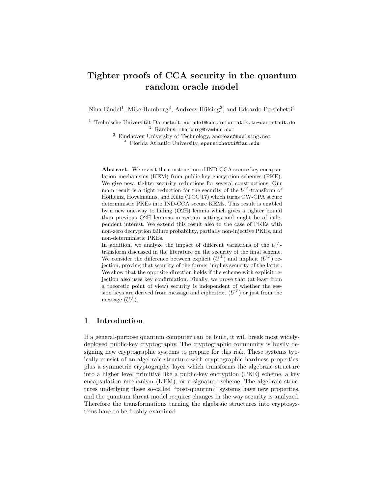# Tighter proofs of CCA security in the quantum random oracle model

Nina Bindel<sup>1</sup>, Mike Hamburg<sup>2</sup>, Andreas Hülsing<sup>3</sup>, and Edoardo Persichetti<sup>4</sup>

 $1$  Technische Universität Darmstadt, nbindel@cdc.informatik.tu-darmstadt.de <sup>2</sup> Rambus, mhamburg@rambus.com

<sup>3</sup> Eindhoven University of Technology, andreas@huelsing.net <sup>4</sup> Florida Atlantic University, epersichetti@fau.edu

Abstract. We revisit the construction of IND-CCA secure key encapsulation mechanisms (KEM) from public-key encryption schemes (PKE). We give new, tighter security reductions for several constructions. Our main result is a tight reduction for the security of the  $U^{\neq}$ -transform of Hofheinz, Hövelmanns, and Kiltz (TCC'17) which turns OW-CPA secure deterministic PKEs into IND-CCA secure KEMs. This result is enabled by a new one-way to hiding (O2H) lemma which gives a tighter bound than previous O2H lemmas in certain settings and might be of independent interest. We extend this result also to the case of PKEs with non-zero decryption failure probability, partially non-injective PKEs, and non-deterministic PKEs.

In addition, we analyze the impact of different variations of the  $U^{\neq}$ transform discussed in the literature on the security of the final scheme. We consider the difference between explicit  $(U^{\perp})$  and implicit  $(U^{\neq})$  rejection, proving that security of the former implies security of the latter. We show that the opposite direction holds if the scheme with explicit rejection also uses key confirmation. Finally, we prove that (at least from a theoretic point of view) security is independent of whether the session keys are derived from message and ciphertext  $(U^{\neq})$  or just from the message  $(U_m^{\mathcal{L}})$ .

## 1 Introduction

If a general-purpose quantum computer can be built, it will break most widelydeployed public-key cryptography. The cryptographic community is busily designing new cryptographic systems to prepare for this risk. These systems typically consist of an algebraic structure with cryptographic hardness properties, plus a symmetric cryptography layer which transforms the algebraic structure into a higher level primitive like a public-key encryption (PKE) scheme, a key encapsulation mechanism (KEM), or a signature scheme. The algebraic structures underlying these so-called "post-quantum" systems have new properties, and the quantum threat model requires changes in the way security is analyzed. Therefore the transformations turning the algebraic structures into cryptosystems have to be freshly examined.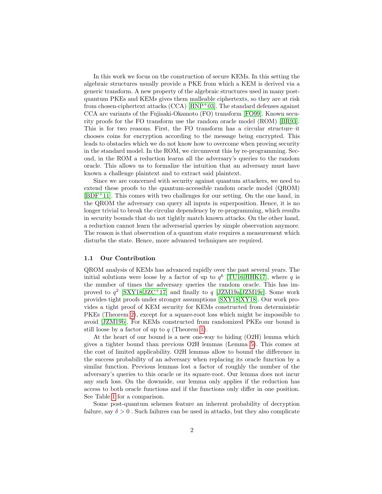In this work we focus on the construction of secure KEMs. In this setting the algebraic structures usually provide a PKE from which a KEM is derived via a generic transform. A new property of the algebraic structures used in many postquantum PKEs and KEMs gives them malleable ciphertexts, so they are at risk from chosen-ciphertext attacks  $(CCA)$  [\[HNP](#page-15-0)<sup>+</sup>03]. The standard defenses against CCA are variants of the Fujisaki-Okamoto (FO) transform [\[FO99\]](#page-15-1). Known security proofs for the FO transform use the random oracle model (ROM) [\[BR93\]](#page-15-2). This is for two reasons. First, the FO transform has a circular structure–it chooses coins for encryption according to the message being encrypted. This leads to obstacles which we do not know how to overcome when proving security in the standard model. In the ROM, we circumvent this by re-programming. Second, in the ROM a reduction learns all the adversary's queries to the random oracle. This allows us to formalize the intuition that an adversary must have known a challenge plaintext and to extract said plaintext.

Since we are concerned with security against quantum attackers, we need to extend these proofs to the quantum-accessible random oracle model (QROM)  $[BDF<sup>+</sup>11]$  $[BDF<sup>+</sup>11]$ . This comes with two challenges for our setting. On the one hand, in the QROM the adversary can query all inputs in superposition. Hence, it is no longer trivial to break the circular dependency by re-programming, which results in security bounds that do not tightly match known attacks. On the other hand, a reduction cannot learn the adversarial queries by simple observation anymore. The reason is that observation of a quantum state requires a measurement which disturbs the state. Hence, more advanced techniques are required.

#### 1.1 Our Contribution

QROM analysis of KEMs has advanced rapidly over the past several years. The initial solutions were loose by a factor of up to  $q^6$  [\[TU16](#page-16-0)[,HHK17\]](#page-15-4), where q is the number of times the adversary queries the random oracle. This has improved to  $q^2$  [\[SXY18,](#page-15-5)[JZC](#page-15-6)<sup>+</sup>17] and finally to  $q$  [\[JZM19a](#page-15-7)[,JZM19c\]](#page-15-8). Some work provides tight proofs under stronger assumptions [\[SXY18,](#page-15-5)[XY18\]](#page-16-1). Our work provides a tight proof of KEM security for KEMs constructed from deterministic PKEs (Theorem [2\)](#page-9-0), except for a square-root loss which might be impossible to avoid [\[JZM19b\]](#page-15-9). For KEMs constructed from randomized PKEs our bound is still loose by a factor of up to  $q$  (Theorem [1\)](#page-7-0).

At the heart of our bound is a new one-way to hiding (O2H) lemma which gives a tighter bound than previous O2H lemmas (Lemma [5\)](#page-6-0). This comes at the cost of limited applicability. O2H lemmas allow to bound the difference in the success probability of an adversary when replacing its oracle function by a similar function. Previous lemmas lost a factor of roughly the number of the adversary's queries to this oracle or its square-root. Our lemma does not incur any such loss. On the downside, our lemma only applies if the reduction has access to both oracle functions and if the functions only differ in one position. See Table [1](#page-3-0) for a comparison.

Some post-quantum schemes feature an inherent probability of decryption failure, say  $\delta > 0$ . Such failures can be used in attacks, but they also complicate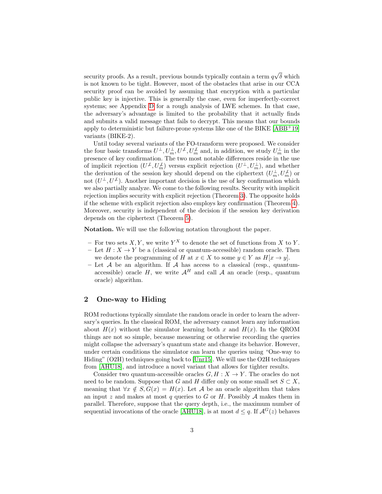security proofs. As a result, previous bounds typically contain a term  $q$ √  $\delta$  which is not known to be tight. However, most of the obstacles that arise in our CCA security proof can be avoided by assuming that encryption with a particular public key is injective. This is generally the case, even for imperfectly-correct systems; see Appendix [D](#page-23-0) for a rough analysis of LWE schemes. In that case, the adversary's advantage is limited to the probability that it actually finds and submits a valid message that fails to decrypt. This means that our bounds apply to deterministic but failure-prone systems like one of the BIKE [\[ABB](#page-14-0)+19] variants (BIKE-2).

Until today several variants of the FO-transform were proposed. We consider the four basic transforms  $U^{\perp}, U_m^{\perp}, U^{\neq}, U_m^{\neq}$  and, in addition, we study  $U_m^{\perp}$  in the presence of key confirmation. The two most notable differences reside in the use of implicit rejection  $(U^{\perp}, U^{\perp}_m)$  versus explicit rejection  $(U^{\perp}, U^{\perp}_m)$ , and whether the derivation of the session key should depend on the ciphertext  $(U_m^{\perp}, U_m^{\not\perp})$  or not  $(U^{\perp}, U^{\neq})$ . Another important decision is the use of key confirmation which we also partially analyze. We come to the following results. Security with implicit rejection implies security with explicit rejection (Theorem [3\)](#page-13-0). The opposite holds if the scheme with explicit rejection also employs key confirmation (Theorem [4\)](#page-13-1). Moreover, security is independent of the decision if the session key derivation depends on the ciphertext (Theorem [5\)](#page-14-1).

Notation. We will use the following notation throughout the paper.

- For two sets  $X, Y$ , we write  $Y^X$  to denote the set of functions from X to Y.
- Let  $H: X \to Y$  be a (classical or quantum-accessible) random oracle. Then we denote the programming of H at  $x \in X$  to some  $y \in Y$  as  $H[x \to y]$ .
- Let  $A$  be an algorithm. If  $A$  has access to a classical (resp., quantumaccessible) oracle H, we write  $A^H$  and call A an oracle (resp., quantum oracle) algorithm.

## 2 One-way to Hiding

ROM reductions typically simulate the random oracle in order to learn the adversary's queries. In the classical ROM, the adversary cannot learn any information about  $H(x)$  without the simulator learning both x and  $H(x)$ . In the QROM things are not so simple, because measuring or otherwise recording the queries might collapse the adversary's quantum state and change its behavior. However, under certain conditions the simulator can learn the queries using "One-way to Hiding" (O2H) techniques going back to [\[Unr15\]](#page-16-2). We will use the O2H techniques from [\[AHU18\]](#page-15-10), and introduce a novel variant that allows for tighter results.

Consider two quantum-accessible oracles  $G, H : X \to Y$ . The oracles do not need to be random. Suppose that G and H differ only on some small set  $S \subset X$ , meaning that  $\forall x \notin S$ ,  $G(x) = H(x)$ . Let A be an oracle algorithm that takes an input z and makes at most q queries to G or H. Possibly  $A$  makes them in parallel. Therefore, suppose that the query depth, i.e., the maximum number of sequential invocations of the oracle [\[AHU18\]](#page-15-10), is at most  $d \leq q$ . If  $\mathcal{A}^G(z)$  behaves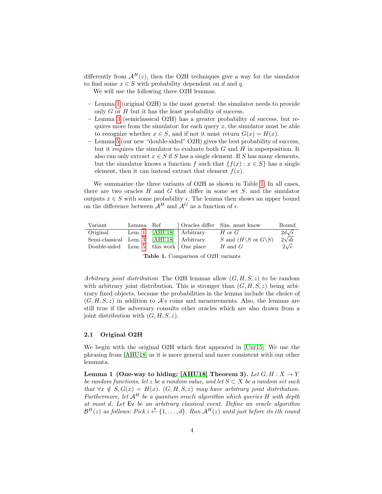differently from  $\mathcal{A}^H(z)$ , then the O2H techniques give a way for the simulator to find some  $x \in S$  with probability dependent on d and q.

We will use the following three O2H lemmas.

- Lemma [1](#page-3-1) (original O2H) is the most general: the simulator needs to provide only G or H but it has the least probability of success.
- Lemma [3](#page-5-0) (semiclassical O2H) has a greater probability of success, but requires more from the simulator: for each query  $x$ , the simulator must be able to recognize whether  $x \in S$ , and if not it must return  $G(x) = H(x)$ .
- Lemma [5](#page-6-0) (our new "double-sided" O2H) gives the best probability of success, but it requires the simulator to evaluate both  $G$  and  $H$  in superposition. It also can only extract  $x \in S$  if S has a single element. If S has many elements, but the simulator knows a function f such that  $\{f(x) : x \in S\}$  has a single element, then it can instead extract that element  $f(x)$ .

We summarize the three variants of O2H as shown in Table [1.](#page-3-0) In all cases, there are two oracles  $H$  and  $G$  that differ in some set  $S$ , and the simulator outputs  $x \in S$  with some probability  $\epsilon$ . The lemma then shows an upper bound on the difference between  $\mathcal{A}^H$  and  $\mathcal{A}^G$  as a function of  $\epsilon$ .

| Variant                                   | Lemma Ref |                            | Oracles differ Sim. must know                     | Bound               |
|-------------------------------------------|-----------|----------------------------|---------------------------------------------------|---------------------|
| Original                                  |           | Lem. 1 $[AHU18]$ Arbitrary | $H$ or $G$                                        | $2d\sqrt{\epsilon}$ |
| Semi-classical Lem. 3 [AHU18] Arbitrary   |           |                            | S and $(H\backslash S \text{ or } G\backslash S)$ | $2\sqrt{d\epsilon}$ |
| Double-sided Lem. 5 this work   One place |           |                            | H and $G$                                         | $2\sqrt{\epsilon}$  |
|                                           |           |                            |                                                   |                     |

Table 1. Comparison of O2H variants

<span id="page-3-0"></span>Arbitrary joint distribution The O2H lemmas allow  $(G, H, S, z)$  to be random with arbitrary joint distribution. This is stronger than  $(G, H, S, z)$  being arbitrary fixed objects, because the probabilities in the lemma include the choice of  $(G, H, S, z)$  in addition to  $\mathcal{A}$ 's coins and measurements. Also, the lemmas are still true if the adversary consults other oracles which are also drawn from a joint distribution with  $(G, H, S, z)$ .

#### 2.1 Original O2H

<span id="page-3-1"></span>We begin with the original O2H which first appeared in [\[Unr15\]](#page-16-2). We use the phrasing from [\[AHU18\]](#page-15-10) as it is more general and more consistent with our other lemmata.

Lemma 1 (One-way to hiding; [\[AHU18\]](#page-15-10) Theorem 3). Let  $G, H: X \rightarrow Y$ be random functions, let z be a random value, and let  $S \subset X$  be a random set such that  $\forall x \notin S, G(x) = H(x)$ .  $(G, H, S, z)$  may have arbitrary joint distribution. Furthermore, let  $A^H$  be a quantum oracle algorithm which queries H with depth at most d. Let Ev be an arbitrary classical event. Define an oracle algorithm  $\mathcal{B}^H(z)$  as follows: Pick i  $\stackrel{\hspace{0.1em}\mathsf{\scriptscriptstyle\$}}{\leftarrow} \{1,\ldots,d\}$ . Run  $\mathcal{A}^H(z)$  until just before its ith round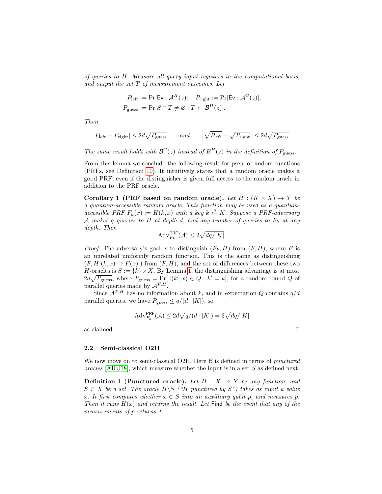of queries to H. Measure all query input registers in the computational basis, and output the set T of measurement outcomes. Let

$$
P_{\text{left}} := \Pr[\mathsf{Ev} : \mathcal{A}^H(z)], \quad P_{\text{right}} := \Pr[\mathsf{Ev} : \mathcal{A}^G(z)],
$$
  

$$
P_{\text{guess}} := \Pr[S \cap T \neq \emptyset : T \leftarrow \mathcal{B}^H(z)].
$$

Then

$$
|P_{\text{left}} - P_{\text{right}}| \le 2d\sqrt{P_{\text{guess}}} \qquad and \qquad \left| \sqrt{P_{\text{left}} - \sqrt{P_{\text{right}}}} \right| \le 2d\sqrt{P_{\text{guess}}}.
$$

The same result holds with  $\mathcal{B}^G(z)$  instead of  $B^H(z)$  in the definition of  $P_{\text{guess}}$ .

From this lemma we conclude the following result for pseudo-random functions (PRFs, see Definition [10\)](#page-18-0). It intuitively states that a random oracle makes a good PRF, even if the distinguisher is given full access to the random oracle in addition to the PRF oracle.

Corollary 1 (PRF based on random oracle). Let  $H : (K \times X) \rightarrow Y$  be a quantum-accessible random oracle. This function may be used as a quantumaccessible PRF  $F_k(x) := H(k, x)$  with a key  $k \stackrel{\text{s}}{\leftarrow} K$ . Suppose a PRF-adversary A makes q queries to H at depth d, and any number of queries to  $F_k$  at any depth. Then

<span id="page-4-0"></span>
$$
\mathrm{Adv}_{F_k}^{\mathsf{PRF}}(\mathcal{A}) \le 2\sqrt{\frac{dq}{|K|}}.
$$

*Proof.* The adversary's goal is to distinguish  $(F_k, H)$  from  $(F, H)$ , where F is an unrelated uniformly random function. This is the same as distinguishing  $(F, H[(k, x) \to F(x)])$  from  $(F, H)$ , and the set of differences between these two H-oracles is  $S := \{k\} \times X$ . By Lemma [1,](#page-3-1) the distinguishing advantage is at most  $2d\sqrt{P_{\text{guess}}},$  where  $P_{\text{guess}} = \Pr[\exists (k', x) \in Q : k' = k],$  for a random round Q of parallel queries made by  $A^{F,H}$ .

Since  $A^{F,H}$  has no information about k, and in expectation Q contains  $q/d$ parallel queries, we have  $P_{\text{guess}} \leq q/(d \cdot |K|)$ , so

$$
\mathrm{Adv}_{F_k}^{\mathsf{PRF}}(\mathcal{A}) \leq 2d\sqrt{q/(d\cdot|K|)} = 2\sqrt{dq/|K|}
$$

as claimed.  $\hfill \Box$ 

#### 2.2 Semi-classical O2H

We now move on to semi-classical O2H. Here  $\beta$  is defined in terms of *punctured* oracles [\[AHU18\]](#page-15-10), which measure whether the input is in a set  $S$  as defined next.

<span id="page-4-1"></span>**Definition 1 (Punctured oracle).** Let  $H : X \rightarrow Y$  be any function, and  $S \subset X$  be a set. The oracle  $H \backslash S$  ("H punctured by  $S$ ") takes as input a value x. It first computes whether  $x \in S$  into an auxilliary qubit p, and measures p. Then it runs  $H(x)$  and returns the result. Let Find be the event that any of the measurements of p returns 1.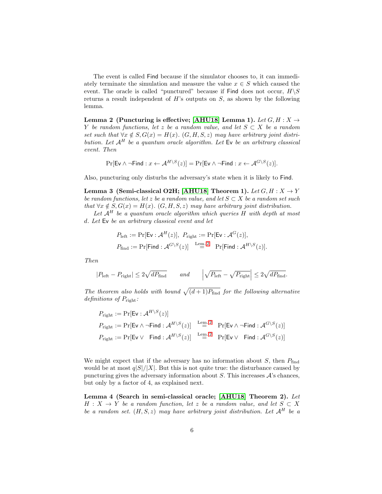The event is called Find because if the simulator chooses to, it can immediately terminate the simulation and measure the value  $x \in S$  which caused the event. The oracle is called "punctured" because if Find does not occur,  $H\backslash S$ returns a result independent of  $H$ 's outputs on  $S$ , as shown by the following lemma.

<span id="page-5-1"></span>Lemma 2 (Puncturing is effective; [\[AHU18\]](#page-15-10) Lemma 1). Let  $G, H: X \rightarrow$ Y be random functions, let z be a random value, and let  $S \subset X$  be a random set such that  $\forall x \notin S$ ,  $G(x) = H(x)$ .  $(G, H, S, z)$  may have arbitrary joint distribution. Let  $A^H$  be a quantum oracle algorithm. Let  $E$ v be an arbitrary classical event. Then

$$
\Pr[\mathsf{Ev} \land \neg \mathsf{Find} : x \leftarrow \mathcal{A}^{H \setminus S}(z)] = \Pr[\mathsf{Ev} \land \neg \mathsf{Find} : x \leftarrow \mathcal{A}^{G \setminus S}(z)].
$$

<span id="page-5-0"></span>Also, puncturing only disturbs the adversary's state when it is likely to Find.

Lemma 3 (Semi-classical O2H; [\[AHU18\]](#page-15-10) Theorem 1). Let  $G, H: X \rightarrow Y$ be random functions, let z be a random value, and let  $S \subset X$  be a random set such that  $\forall x \notin S, G(x) = H(x)$ .  $(G, H, S, z)$  may have arbitrary joint distribution.

Let  $A^H$  be a quantum oracle algorithm which queries H with depth at most d. Let Ev be an arbitrary classical event and let

$$
P_{\text{left}} := \Pr[\mathsf{Ev} : \mathcal{A}^H(z)], \ P_{\text{right}} := \Pr[\mathsf{Ev} : \mathcal{A}^G(z)],
$$
  

$$
P_{\text{find}} := \Pr[\mathsf{Find} : \mathcal{A}^{G \setminus S}(z)] \stackrel{\text{Lem. 2}}{=} \Pr[\mathsf{Find} : \mathcal{A}^{H \setminus S}(z)].
$$

Then

$$
|P_{\text{left}} - P_{\text{right}}| \le 2\sqrt{dP_{\text{find}}} \qquad \text{and} \qquad \left| \sqrt{P_{\text{left}} - \sqrt{P_{\text{right}}}} \right| \le 2\sqrt{dP_{\text{find}}}.
$$

The theorem also holds with bound  $\sqrt{(d+1)P_{\text{find}}}$  for the following alternative definitions of  $P_{\text{right}}$ :

$$
P_{\text{right}} := \Pr[\text{Ev}: \mathcal{A}^{H \setminus S}(z)]
$$
  
\n
$$
P_{\text{right}} := \Pr[\text{Ev} \land \neg \text{Find} : \mathcal{A}^{H \setminus S}(z)] \xrightarrow{\text{Lem. 2}} \Pr[\text{Ev} \land \neg \text{Find} : \mathcal{A}^{G \setminus S}(z)]
$$
  
\n
$$
P_{\text{right}} := \Pr[\text{Ev} \lor \text{Find} : \mathcal{A}^{H \setminus S}(z)] \xrightarrow{\text{Lem. 2}} \Pr[\text{Ev} \lor \text{Find} : \mathcal{A}^{G \setminus S}(z)]
$$

We might expect that if the adversary has no information about  $S$ , then  $P_{\text{find}}$ would be at most  $q|S|/|X|$ . But this is not quite true: the disturbance caused by puncturing gives the adversary information about  $S$ . This increases  $\mathcal{A}$ 's chances, but only by a factor of 4, as explained next.

<span id="page-5-2"></span>Lemma 4 (Search in semi-classical oracle; [\[AHU18\]](#page-15-10) Theorem 2). Let  $H: X \to Y$  be a random function, let z be a random value, and let  $S \subset X$ be a random set.  $(H, S, z)$  may have arbitrary joint distribution. Let  $\mathcal{A}^H$  be a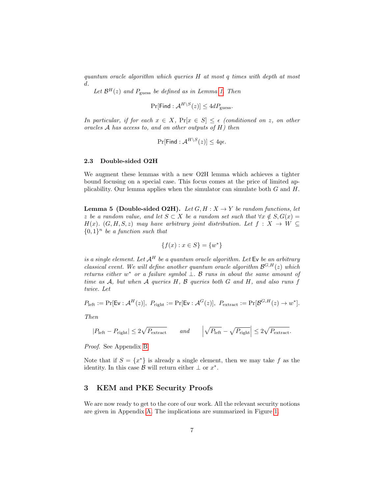quantum oracle algorithm which queries H at most q times with depth at most d.

Let  $\mathcal{B}^H(z)$  and  $P_{\text{guess}}$  be defined as in Lemma [1.](#page-3-1) Then

$$
\Pr[\mathsf{Find} : \mathcal{A}^{H \setminus S}(z)] \le 4dP_{\text{guess}}.
$$

In particular, if for each  $x \in X$ ,  $Pr[x \in S] \leq \epsilon$  (conditioned on z, on other oracles A has access to, and on other outputs of H) then

$$
\Pr[\mathsf{Find} : \mathcal{A}^{H \setminus S}(z)] \le 4q\epsilon.
$$

#### 2.3 Double-sided O2H

We augment these lemmas with a new O2H lemma which achieves a tighter bound focusing on a special case. This focus comes at the price of limited applicability. Our lemma applies when the simulator can simulate both  $G$  and  $H$ .

<span id="page-6-0"></span>**Lemma 5 (Double-sided O2H).** Let  $G, H : X \rightarrow Y$  be random functions, let z be a random value, and let  $S \subset X$  be a random set such that  $\forall x \notin S, G(x) =$ H(x). (G, H, S, z) may have arbitrary joint distribution. Let  $f: X \to W$  ${0,1}^n$  be a function such that

$$
\{f(x) : x \in S\} = \{w^*\}
$$

is a single element. Let  $A^H$  be a quantum oracle algorithm. Let Ev be an arbitrary classical event. We will define another quantum oracle algorithm  $\mathcal{B}^{G,H}(z)$  which returns either w<sup>\*</sup> or a failure symbol  $\perp$ . B runs in about the same amount of time as  $A$ , but when  $A$  queries  $H$ ,  $B$  queries both  $G$  and  $H$ , and also runs  $f$ twice. Let

$$
P_{\text{left}} := \Pr[\mathsf{Ev} : \mathcal{A}^H(z)], \ P_{\text{right}} := \Pr[\mathsf{Ev} : \mathcal{A}^G(z)], \ P_{\text{extract}} := \Pr[\mathcal{B}^{G,H}(z) \to w^*].
$$

Then

$$
|P_{\text{left}} - P_{\text{right}}| \le 2\sqrt{P_{\text{extract}}} \qquad \text{and} \qquad \left| \sqrt{P_{\text{left}} - \sqrt{P_{\text{right}}}} \right| \le 2\sqrt{P_{\text{extract}}}.
$$

Proof. See Appendix [B.](#page-19-0)

Note that if  $S = \{x^*\}$  is already a single element, then we may take f as the identity. In this case  $\mathcal{B}$  will return either  $\perp$  or  $x^*$ .

# 3 KEM and PKE Security Proofs

We are now ready to get to the core of our work. All the relevant security notions are given in Appendix [A.](#page-16-3) The implications are summarized in Figure [1.](#page-7-1)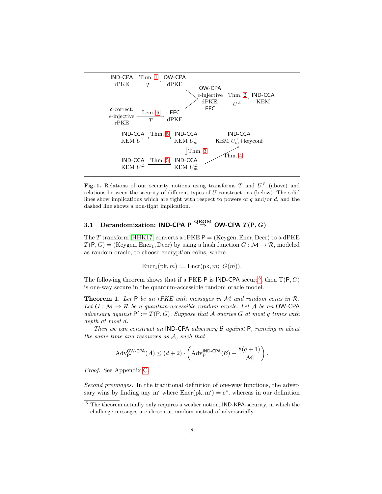

<span id="page-7-1"></span>Fig. 1. Relations of our security notions using transforms T and  $U^{\neq}$  (above) and relations between the security of different types of U-constructions (below). The solid lines show implications which are tight with respect to powers of  $q$  and/or  $d$ , and the dashed line shows a non-tight implication.

# 3.1 Derandomization: IND-CPA P  $\stackrel{\text{QROM}}{\Rightarrow}$  OW-CPA  $T(P, G)$

The T transform [\[HHK17\]](#page-15-4) converts a rPKE  $P =$  (Keygen, Encr, Decr) to a dPKE  $T(P, G) =$  (Keygen, Encr<sub>1</sub>, Decr) by using a hash function  $G : \mathcal{M} \to \mathcal{R}$ , modeled as random oracle, to choose encryption coins, where

<span id="page-7-0"></span>
$$
Encr1(pk, m) := Encr(pk, m; G(m)).
$$

The following theorem shows that if a PKE P is IND-CPA secure<sup>[5](#page-7-2)</sup>, then  $T(P, G)$ is one-way secure in the quantum-accessible random oracle model.

**Theorem 1.** Let  $P$  be an rPKE with messages in  $M$  and random coins in  $R$ . Let  $G : \mathcal{M} \to \mathcal{R}$  be a quantum-accessible random oracle. Let A be an OW-CPA adversary against  $P' := T(P, G)$ . Suppose that A queries G at most q times with depth at most d.

Then we can construct an IND-CPA adversary B against P, running in about the same time and resources as A, such that

$$
Adv_{\mathsf{P}'}^{\mathsf{OW-CPA}}(\mathcal{A}) \leq (d+2) \cdot \left( \mathrm{Adv}_{\mathsf{P}}^{\mathsf{IND-CPA}}(\mathcal{B}) + \frac{8(q+1)}{|\mathcal{M}|} \right).
$$

Proof. See Appendix [C.](#page-21-0)

Second preimages. In the traditional definition of one-way functions, the adversary wins by finding any m' where  $\text{Encr}(pk, m') = c^*$ , whereas in our definition

<span id="page-7-2"></span> $5$  The theorem actually only requires a weaker notion, IND-KPA-security, in which the challenge messages are chosen at random instead of adversarially.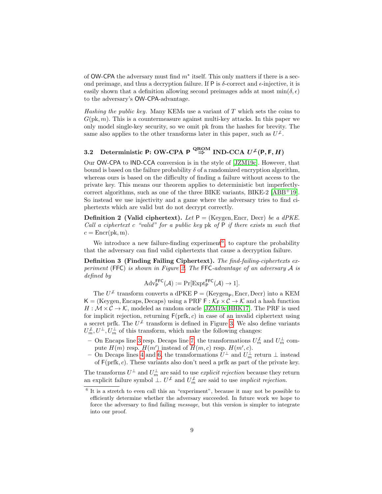of  $OW-CPA$  the adversary must find  $m^*$  itself. This only matters if there is a second preimage, and thus a decryption failure. If P is  $\delta$ -correct and  $\epsilon$ -injective, it is easily shown that a definition allowing second preimages adds at most  $\min(\delta, \epsilon)$ to the adversary's OW-CPA-advantage.

Hashing the public key. Many KEMs use a variant of  $T$  which sets the coins to  $G(\mathrm{pk}, m)$ . This is a countermeasure against multi-key attacks. In this paper we only model single-key security, so we omit pk from the hashes for brevity. The same also applies to the other transforms later in this paper, such as  $U^{\neq}$ .

# 3.2 Deterministic P: OW-CPA P  $\stackrel{\text{QROM}}{\Rightarrow}$  IND-CCA  $U^{\neq}(\mathsf{P},\mathsf{F},H)$

Our OW-CPA to IND-CCA conversion is in the style of [\[JZM19c\]](#page-15-8). However, that bound is based on the failure probability  $\delta$  of a randomized encryption algorithm, whereas ours is based on the difficulty of finding a failure without access to the private key. This means our theorem applies to deterministic but imperfectlycorrect algorithms, such as one of the three BIKE variants, BIKE-2 [\[ABB](#page-14-0)+19]. So instead we use injectivity and a game where the adversary tries to find ciphertexts which are valid but do not decrypt correctly.

**Definition 2 (Valid ciphertext).** Let  $P =$  (Keygen, Encr, Decr) be a dPKE. Call a ciphertext c "valid" for a public key pk of  $P$  if there exists m such that  $c = \text{Encr}(pk, m).$ 

We introduce a new failure-finding experiment<sup>[6](#page-8-0)</sup>, to capture the probability that the adversary can find valid ciphertexts that cause a decryption failure.

<span id="page-8-1"></span>Definition 3 (Finding Failing Ciphertext). The find-failing-ciphertexts ex-periment (FFC) is shown in Figure [2.](#page-9-1) The FFC-advantage of an adversary  $A$  is defined by

$$
\mathrm{Adv}_{\mathsf{P}}^{\mathsf{FFC}}(\mathcal{A}) := \Pr[\mathrm{Expt}_{\mathsf{P}}^{\mathsf{FFC}}(\mathcal{A}) \to 1].
$$

The  $U^{\neq}$  transform converts a dPKE  $P =$  (Keygen<sub>P</sub>, Encr, Decr) into a KEM  $K = (Keygen, Encaps, Decaps)$  using a PRF  $F : K_F \times C \rightarrow K$  and a hash function  $H : \mathcal{M} \times \mathcal{C} \to \mathcal{K}$ , modeled as random oracle [\[JZM19c,](#page-15-8) [HHK17\]](#page-15-4). The PRF is used for implicit rejection, returning  $F(\text{prfk}, c)$  in case of an invalid ciphertext using a secret prfk. The  $U^{\neq}$  transform is defined in Figure [3.](#page-9-2) We also define variants  $U_m^{\perp}, U_{m}^{\perp}, U_m^{\perp}$  of this transform, which make the following changes:

- − On Encaps line [3](#page-9-3) resp. Decaps line [7,](#page-9-4) the transformations  $U_m^{\neq}$  and  $U_m^{\perp}$  compute  $H(m)$  resp.  $H(m')$  instead of  $H(m, c)$  resp.  $H(m', c)$ .
- − On Decaps lines [4](#page-9-5) and [6,](#page-9-6) the transformations  $\bar{U}^{\perp}$  and  $U_m^{\perp}$  return  $\perp$  instead of  $F(\text{prfk}, c)$ . These variants also don't need a prfk as part of the private key.

The transforms  $U^{\perp}$  and  $U_m^{\perp}$  are said to use *explicit rejection* because they return an explicit failure symbol  $\perp$ .  $U^{\neq}$  and  $U^{\neq}_m$  are said to use *implicit rejection*.

<span id="page-8-0"></span><sup>&</sup>lt;sup>6</sup> It is a stretch to even call this an "experiment", because it may not be possible to efficiently determine whether the adversary succeeded. In future work we hope to force the adversary to find failing message, but this version is simpler to integrate into our proof.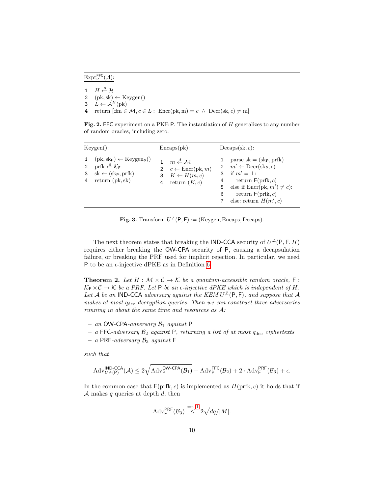$\mathrm{Expt}_\mathsf{P}^\mathsf{FFC}(\mathcal{A})$ :

 $H \overset{\$}{\leftarrow} \mathcal{H}$  $(\text{pk}, \text{sk}) \leftarrow \text{Keygen}()$  $L \leftarrow \mathcal{A}^H(\text{pk})$ 4 return  $[\exists m \in \mathcal{M}, c \in L : \text{Enc}(\text{pk}, m) = c \land \text{Decr}(\text{sk}, c) \neq m]$ 

<span id="page-9-1"></span>Fig. 2. FFC experiment on a PKE P. The instantiation of H generalizes to any number of random oracles, including zero.

| Keygen():                                                                                                                                                                                                        | Encaps(pk):                                                                                                                | $Decaps(\text{sk}, c)$ :                                                                                                                                                                                                                                 |
|------------------------------------------------------------------------------------------------------------------------------------------------------------------------------------------------------------------|----------------------------------------------------------------------------------------------------------------------------|----------------------------------------------------------------------------------------------------------------------------------------------------------------------------------------------------------------------------------------------------------|
| $(\text{pk}, \text{sk}_{\text{P}}) \leftarrow \text{Keygen}_{\text{P}}()$<br>prfk $\stackrel{\$}{\leftarrow} \mathcal{K}_{\mathsf{F}}$<br>$\overline{2}$<br>$sk \leftarrow (sk_P, prfk)$<br>return (pk, sk)<br>4 | $m \stackrel{\$}{\leftarrow} M$<br>2 $c \leftarrow \text{Encr}(pk, m)$<br>3 $K \leftarrow H(m, c)$<br>return $(K, c)$<br>4 | parse $sk = (sk_P, prfk)$<br>2 $m' \leftarrow \text{Decr}(\text{skp}, c)$<br>3 if $m' = \perp$ :<br>return $F(\text{prfk}, c)$<br>$4 \quad$<br>else if $\text{Encr}(pk, m') \neq c$ :<br>5<br>return $F(\text{prfk}, c)$<br>6<br>else: return $H(m', c)$ |

<span id="page-9-6"></span><span id="page-9-5"></span><span id="page-9-4"></span><span id="page-9-3"></span>**Fig. 3.** Transform  $U^{\neq}(P, F) :=$  (Keygen, Encaps, Decaps).

<span id="page-9-2"></span>The next theorem states that breaking the IND-CCA security of  $U^{\neq}(P, F, H)$ requires either breaking the OW-CPA security of P, causing a decapsulation failure, or breaking the PRF used for implicit rejection. In particular, we need P to be an  $\epsilon$ -injective dPKE as in Definition [6.](#page-17-0)

<span id="page-9-0"></span>**Theorem 2.** Let  $H : \mathcal{M} \times \mathcal{C} \to \mathcal{K}$  be a quantum-accessible random oracle,  $F :$  $\mathcal{K}_{F} \times \mathcal{C} \rightarrow \mathcal{K}$  be a PRF. Let P be an  $\epsilon$ -injective dPKE which is independent of H. Let A be an IND-CCA adversary against the KEM  $U^{\neq}(\mathsf{P},\mathsf{F})$ , and suppose that A makes at most  $q_{\text{dec}}$  decryption queries. Then we can construct three adversaries running in about the same time and resources as A:

- an OW-CPA-adversary  $\mathcal{B}_1$  against P
- a FFC-adversary  $\mathcal{B}_2$  against P, returning a list of at most  $q_{\text{dec}}$  ciphertexts
- a PRF-adversary  $B_3$  against F

such that

$$
\mathrm{Adv}_{U^\mathcal{L}(P)}^{\mathsf{IND}\text{-}\mathsf{CCA}}(\mathcal{A}) \leq 2\sqrt{\mathrm{Adv}_{\mathsf{P}}^{\mathsf{OW}\text{-}\mathsf{CPA}}(\mathcal{B}_1)} + \mathrm{Adv}_{\mathsf{P}}^{\mathsf{FFC}}(\mathcal{B}_2) + 2\cdot \mathrm{Adv}_{\mathsf{F}}^{\mathsf{PRF}}(\mathcal{B}_3) + \epsilon.
$$

In the common case that  $F(\text{prfk}, c)$  is implemented as  $H(\text{prfk}, c)$  it holds that if A makes  $q$  queries at depth  $d$ , then

$$
\mathrm{Adv}_{\mathsf{F}}^{\mathsf{PRF}}(\mathcal{B}_3) \stackrel{\mathrm{cor. 1}}{\leq} 2\sqrt{\mathit{dq}/|M|}.
$$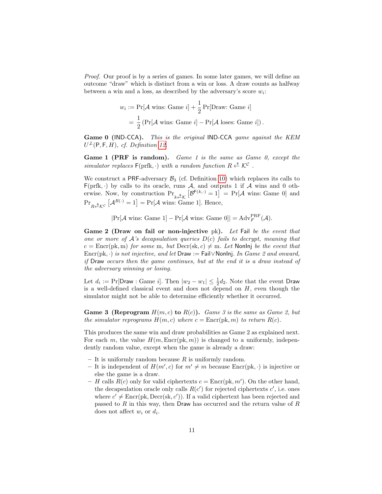Proof. Our proof is by a series of games. In some later games, we will define an outcome "draw" which is distinct from a win or loss. A draw counts as halfway between a win and a loss, as described by the adversary's score  $w_i$ :

$$
w_i := \Pr[\mathcal{A} \text{ wins: Game } i] + \frac{1}{2} \Pr[\text{Draw: Game } i]
$$

$$
= \frac{1}{2} \left( \Pr[\mathcal{A} \text{ wins: Game } i] - \Pr[\mathcal{A} \text{ loses: Game } i] \right).
$$

Game 0 (IND-CCA). This is the original IND-CCA game against the KEM  $U^{\neq}(\mathsf{P},\mathsf{F},H)$ , cf. Definition [12.](#page-18-1)

<span id="page-10-2"></span>Game 1 (PRF is random). Game 1 is the same as Game 0, except the simulator replaces  $\mathsf{F}(\text{prfk}, \cdot)$  with a random function  $R \stackrel{\text{s}}{\leftarrow} \mathcal{K}^{\mathcal{C}}$ .

We construct a PRF-adversary  $\mathcal{B}_3$  (cf. Definition [10\)](#page-18-0) which replaces its calls to  $F(prfk, \cdot)$  by calls to its oracle, runs  $A$ , and outputs 1 if  $A$  wins and 0 otherwise. Now, by construction  $Pr_{k \stackrel{s}{\leftarrow} K} [\mathcal{B}^{F(k,\cdot)} = 1] = Pr[\mathcal{A}$  wins: Game 0 and  $\Pr_{R \leftarrow K^c} [\mathcal{A}^{R(\cdot)} = 1] = \Pr[\mathcal{A} \text{ wins: Game 1}].$  Hence,

 $|\Pr[\mathcal{A} \text{ wins: Game 1}] - \Pr[\mathcal{A} \text{ wins: Game 0}]| = \text{Adv}_{F}^{\text{PRF}}(\mathcal{A}).$ 

<span id="page-10-0"></span>Game 2 (Draw on fail or non-injective pk). Let Fail be the event that one or more of  $A$ 's decapsulation queries  $D(c)$  fails to decrypt, meaning that  $c = \text{Enc}(\text{pk}, \text{m})$  for some m, but  $\text{Dec}(\text{sk}, c) \neq \text{m}$ . Let Nonlnj be the event that Encr(pk, ·) is not injective, and let Draw := Fail∨NonInj. In Game 2 and onward, if Draw occurs then the game continues, but at the end it is a draw instead of the adversary winning or losing.

Let  $d_i := \Pr[\textsf{Draw}: \textsf{Game } i]$ . Then  $|w_2 - w_1| \leq \frac{1}{2}d_2$ . Note that the event Draw is a well-defined classical event and does not depend on  $H$ , even though the simulator might not be able to determine efficiently whether it occurred.

<span id="page-10-1"></span>**Game 3 (Reprogram**  $H(m, c)$  to  $R(c)$ ). Game 3 is the same as Game 2, but the simulator reprograms  $H(m, c)$  where  $c = \text{Enc}(\text{pk}, m)$  to return  $R(c)$ .

This produces the same win and draw probabilities as Game 2 as explained next. For each m, the value  $H(m, \text{Enc}(\text{pk}, m))$  is changed to a uniformly, independently random value, except when the game is already a draw:

- It is uniformly random because  $R$  is uniformly random.
- It is independent of  $H(m', c)$  for  $m' \neq m$  because Encr(pk, ·) is injective or else the game is a draw.
- H calls  $R(c)$  only for valid ciphertexts  $c = \text{Enc}(\text{pk}, m')$ . On the other hand, the decapsulation oracle only calls  $R(c')$  for rejected ciphertexts  $c'$ , i.e. ones where  $c' \neq \text{Encr}(pk, \text{Decr}(sk, c'))$ . If a valid ciphertext has been rejected and passed to  $R$  in this way, then Draw has occurred and the return value of  $R$ does not affect  $w_i$  or  $d_i$ .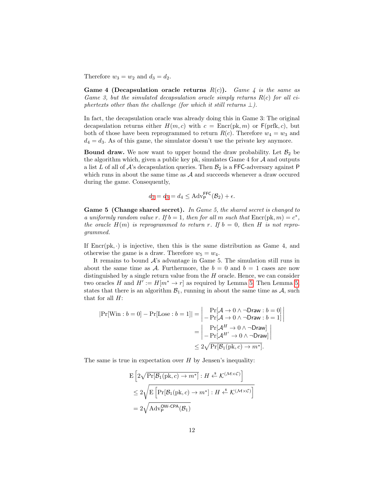Therefore  $w_3 = w_2$  and  $d_3 = d_2$ .

Game 4 (Decapsulation oracle returns  $R(c)$ ). Game 4 is the same as Game 3, but the simulated decapsulation oracle simply returns  $R(c)$  for all ciphertexts other than the challenge (for which it still returns  $\perp$ ).

In fact, the decapsulation oracle was already doing this in Game 3: The original decapsulation returns either  $H(m, c)$  with  $c = \text{Encr}(pk, m)$  or  $F(prfk, c)$ , but both of those have been reprogrammed to return  $R(c)$ . Therefore  $w_4 = w_3$  and  $d_4 = d_3$ . As of this game, the simulator doesn't use the private key anymore.

**Bound draw.** We now want to upper bound the draw probability. Let  $\mathcal{B}_2$  be the algorithm which, given a public key pk, simulates Game  $4$  for  $A$  and outputs a list L of all of  $\mathcal{A}$ 's decapsulation queries. Then  $\mathcal{B}_2$  is a FFC-adversary against P which runs in about the same time as  $A$  and succeeds whenever a draw occured during the game. Consequently,

$$
d_2 = d_3 = d_4 \le \text{Adv}_{\mathsf{P}}^{\mathsf{FFC}}(\mathcal{B}_2) + \epsilon.
$$

Game 5 (Change shared secret). In Game 5, the shared secret is changed to a uniformly random value r. If  $b = 1$ , then for all m such that  $\text{Enc}(\text{pk}, m) = c^*$ , the oracle  $H(m)$  is reprogrammed to return r. If  $b = 0$ , then H is not reprogrammed.

If  $\text{Enc}(\text{pk}, \cdot)$  is injective, then this is the same distribution as Game 4, and otherwise the game is a draw. Therefore  $w_5 = w_4$ .

It remains to bound  $A$ 's advantage in Game 5. The simulation still runs in about the same time as A. Furthermore, the  $b = 0$  and  $b = 1$  cases are now distinguished by a single return value from the  $H$  oracle. Hence, we can consider two oracles H and  $H' := H[m^* \to r]$  as required by Lemma [5.](#page-6-0) Then Lemma [5,](#page-6-0) states that there is an algorithm  $\mathcal{B}_1$ , running in about the same time as  $\mathcal{A}$ , such that for all  $H$ :

$$
|\Pr[\text{Win}:b=0] - \Pr[\text{Lose}:b=1]| = \begin{vmatrix} \Pr[\mathcal{A} \to 0 \land \neg \text{Draw}:b=0] \\ - \Pr[\mathcal{A} \to 0 \land \neg \text{Draw}:b=1] \end{vmatrix} = \begin{vmatrix} \Pr[\mathcal{A}^H \to 0 \land \neg \text{Draw}:b=1] \\ - \Pr[\mathcal{A}^H \to 0 \land \neg \text{Draw}] \end{vmatrix} \le 2\sqrt{\Pr[\mathcal{B}_1(\text{pk},c) \to m^*]}.
$$

The same is true in expectation over  $H$  by Jensen's inequality:

$$
\begin{aligned} &\mathbf{E}\left[2\sqrt{\Pr[\mathcal{B}_1(\mathrm{pk}, c) \to m^*]} : H \xleftarrow{\$} \mathcal{K}^{(\mathcal{M} \times \mathcal{C})}\right] \\ &\leq 2\sqrt{\mathbf{E}\left[\Pr[\mathcal{B}_1(\mathrm{pk}, c) \to m^*] : H \xleftarrow{\$} \mathcal{K}^{(\mathcal{M} \times \mathcal{C})}\right]} \\ &= 2\sqrt{\text{Adv}_{\mathsf{P}}^{\text{OW-CPA}}(\mathcal{B}_1)} \end{aligned}
$$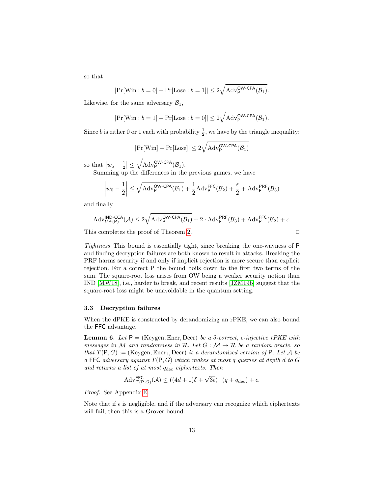so that

$$
|\Pr[\text{Win}:b=0]-\Pr[\text{Lose}:b=1]|\leq 2\sqrt{\text{Adv}_{\text{P}}^{\text{OW-CPA}}(\mathcal{B}_1)}.
$$

Likewise, for the same adversary  $\mathcal{B}_1$ ,

$$
|\Pr[\text{Win}: b = 1] - \Pr[\text{Lose}: b = 0]| \leq 2\sqrt{\text{Adv}_{\text{P}}^{\text{OW-CPA}}(\mathcal{B}_1)}.
$$

Since *b* is either 0 or 1 each with probability  $\frac{1}{2}$ , we have by the triangle inequality:

$$
|\Pr[\text{Win}] - \Pr[\text{Lose}]| \le 2\sqrt{Adv_{\mathsf{P}}^{\mathsf{OW-CPA}}(\mathcal{B}_1)}
$$

so that  $|w_5 - \frac{1}{2}| \leq \sqrt{\text{Adv}_{\mathsf{P}}^{\text{OW-CPA}}(\mathcal{B}_1)}$ .

Summing up the differences in the previous games, we have

$$
\left|w_0 - \frac{1}{2}\right| \le \sqrt{\mathrm{Adv}_{\mathsf{P}}^{\mathsf{OW-CPA}}(\mathcal{B}_1)} + \frac{1}{2}\mathrm{Adv}_{\mathsf{P}}^{\mathsf{FFC}}(\mathcal{B}_2) + \frac{\epsilon}{2} + \mathrm{Adv}_{\mathsf{F}}^{\mathsf{PRF}}(\mathcal{B}_3)
$$

and finally

$$
\mathrm{Adv}_{U^\mathcal{L}(P)}^{\mathsf{IND}\text{-}\mathsf{CCA}}(\mathcal{A}) \leq 2\sqrt{\mathrm{Adv}_{\mathsf{P}}^{\mathsf{OW}\text{-}\mathsf{CPA}}(\mathcal{B}_1)} + 2\cdot \mathrm{Adv}_{\mathsf{F}}^{\mathsf{PRF}}(\mathcal{B}_3) + \mathrm{Adv}_{\mathsf{P}}^{\mathsf{FFC}}(\mathcal{B}_2) + \epsilon.
$$

This completes the proof of Theorem [2.](#page-9-0)  $\Box$ 

Tightness This bound is essentially tight, since breaking the one-wayness of P and finding decryption failures are both known to result in attacks. Breaking the PRF harms security if and only if implicit rejection is more secure than explicit rejection. For a correct P the bound boils down to the first two terms of the sum. The square-root loss arises from OW being a weaker security notion than IND [\[MW18\]](#page-15-11), i.e., harder to break, and recent results [\[JZM19b\]](#page-15-9) suggest that the square-root loss might be unavoidable in the quantum setting.

### 3.3 Decryption failures

When the dPKE is constructed by derandomizing an rPKE, we can also bound the FFC advantage.

**Lemma 6.** Let  $P = (Keygen, Encr, Decr)$  be a  $\delta$ -correct,  $\epsilon$ -injective rPKE with messages in M and randomness in R. Let  $G : \mathcal{M} \to \mathcal{R}$  be a random oracle, so that  $T(P, G) :=$  (Keygen, Encr<sub>1</sub>, Decr) is a derandomized version of P. Let A be a FFC adversary against  $T(P, G)$  which makes at most q queries at depth d to G and returns a list of at most  $q_{\text{dec}}$  ciphertexts. Then

<span id="page-12-0"></span>
$$
Adv_{T(P,G)}^{\text{FFC}}(\mathcal{A}) \le ((4d+1)\delta + \sqrt{3\epsilon}) \cdot (q + q_{\text{dec}}) + \epsilon.
$$

Proof. See Appendix [E.](#page-24-0)

Note that if  $\epsilon$  is negligible, and if the adversary can recognize which ciphertexts will fail, then this is a Grover bound.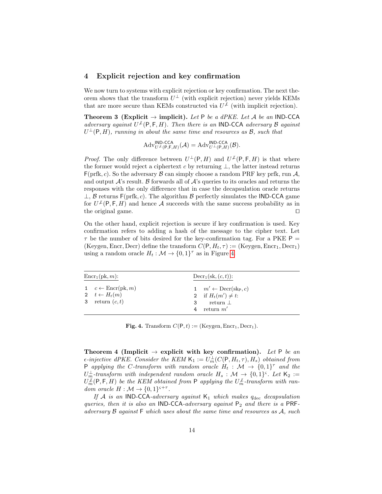## 4 Explicit rejection and key confirmation

We now turn to systems with explicit rejection or key confirmation. The next theorem shows that the transform  $U^{\perp}$  (with explicit rejection) never yields KEMs that are more secure than KEMs constructed via  $U^{\neq}$  (with implicit rejection).

Theorem 3 (Explicit  $\rightarrow$  implicit). Let P be a dPKE. Let A be an IND-CCA adversary against  $U^{\neq}(\mathsf{P},\mathsf{F},H)$ . Then there is an IND-CCA adversary B against  $U^{\perp}(\mathsf{P},H)$ , running in about the same time and resources as  $\mathcal{B}$ , such that

<span id="page-13-0"></span>
$$
\mathrm{Adv}_{U^{\perp}(\mathsf{P},\mathsf{F},H)}^{\mathsf{IND}\text{-}\mathsf{CCA}}(\mathcal{A})=\mathrm{Adv}_{U^{\perp}(\mathsf{P},H)}^{\mathsf{IND}\text{-}\mathsf{CCA}}(\mathcal{B}).
$$

*Proof.* The only difference between  $U^{\perp}(P,H)$  and  $U^{\neq}(P,F,H)$  is that where the former would reject a ciphertext c by returning  $\perp$ , the latter instead returns  $F(\text{prfk}, c)$ . So the adversary  $\beta$  can simply choose a random PRF key prfk, run  $\mathcal{A}$ , and output  $\mathcal{A}$ 's result.  $\mathcal{B}$  forwards all of  $\mathcal{A}$ 's queries to its oracles and returns the responses with the only difference that in case the decapsulation oracle returns  $\perp$ , B returns F(prfk, c). The algorithm B perfectly simulates the IND-CCA game for  $U^{\neq}(\mathsf{P},\mathsf{F},H)$  and hence A succeeds with the same success probability as in the original game.  $\hfill \Box$ 

On the other hand, explicit rejection is secure if key confirmation is used. Key confirmation refers to adding a hash of the message to the cipher text. Let  $\tau$  be the number of bits desired for the key-confirmation tag. For a PKE P = (Keygen, Encr, Decr) define the transform  $C(P, H_t, \tau) :=$  (Keygen, Encr<sub>1</sub>, Decr<sub>1</sub>) using a random oracle  $H_t : \mathcal{M} \to \{0,1\}^{\tau}$  as in Figure [4.](#page-13-2)

| $\text{Encr}_1(\text{pk}, m)$ :                                                     | $\text{Decr}_1(\text{sk}, (c, t))$ :                                                                     |
|-------------------------------------------------------------------------------------|----------------------------------------------------------------------------------------------------------|
| 1 $c \leftarrow \text{Encr}(pk, m)$<br>2 $t \leftarrow H_t(m)$<br>3 return $(c, t)$ | 1 $m' \leftarrow \text{Decr}(\text{skp}, c)$<br>2 if $H_t(m') \neq t$ :<br>return $\perp$<br>return $m'$ |

**Fig. 4.** Transform  $C(P, t) :=$  (Keygen, Encr<sub>1</sub>, Decr<sub>1</sub>).

<span id="page-13-2"></span><span id="page-13-1"></span>Theorem 4 (Implicit  $\rightarrow$  explicit with key confirmation). Let P be an  $\epsilon$ -injective dPKE. Consider the KEM  $\mathsf{K}_1 := U_m^{\perp}(C(\mathsf{P}, H_t, \tau), H_s)$  obtained from P applying the C-transform with random oracle  $H_t$ :  $\mathcal{M} \to \{0,1\}^{\tau}$  and the  $U_m^{\perp}$ -transform with independent random oracle  $H_s : \mathcal{M} \to \{0,1\}^{\varsigma}$ . Let  $\mathsf{K}_2 :=$  $U_m^{\not L}(\mathsf P,\mathsf F,H)$  be the KEM obtained from  $\mathsf P$  applying the  $U_m^{\not L}$ -transform with random oracle  $H : \mathcal{M} \to \{0,1\}^{s+\tau}$ .

If A is an IND-CCA-adversary against  $K_1$  which makes  $q_{\text{dec}}$  decapsulation queries, then it is also an IND-CCA-adversary against  $P_2$  and there is a PRFadversary  $\beta$  against  $\vdash$  which uses about the same time and resources as  $\mathcal{A}$ , such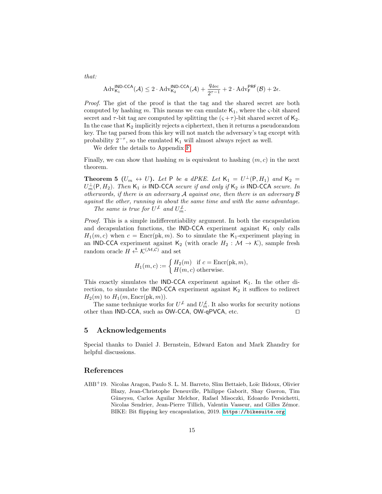$$
\mathrm{Adv}_{\mathsf{K}_1}^{\mathsf{IND}\text{-}\mathsf{CCA}}(\mathcal{A}) \leq 2\cdot \mathrm{Adv}_{\mathsf{K}_2}^{\mathsf{IND}\text{-}\mathsf{CCA}}(\mathcal{A}) + \frac{q_{\mathrm{dec}}}{2^{\tau-1}} + 2\cdot \mathrm{Adv}_{\mathsf{F}}^{\mathsf{PRF}}(\mathcal{B}) + 2\epsilon.
$$

Proof. The gist of the proof is that the tag and the shared secret are both computed by hashing m. This means we can emulate  $K_1$ , where the  $\varsigma$ -bit shared secret and  $\tau$ -bit tag are computed by splitting the  $(\varsigma + \tau)$ -bit shared secret of  $K_2$ . In the case that  $K_2$  implicitly rejects a ciphertext, then it returns a pseudorandom key. The tag parsed from this key will not match the adversary's tag except with probability  $2^{-\tau}$ , so the emulated K<sub>1</sub> will almost always reject as well.

We defer the details to Appendix [F.](#page-26-0)

Finally, we can show that hashing m is equivalent to hashing  $(m, c)$  in the next theorem.

<span id="page-14-1"></span>**Theorem 5** ( $U_m \leftrightarrow U$ ). Let P be a dPKE. Let  $K_1 = U^{\perp}(P, H_1)$  and  $K_2 =$  $U_m^{\perp}(\mathsf{P}, H_2)$ . Then  $\mathsf{K}_1$  is IND-CCA secure if and only if  $\mathsf{K}_2$  is IND-CCA secure. In otherwords, if there is an adversary A against one, then there is an adversary B against the other, running in about the same time and with the same advantage. The same is true for  $U^{\neq}$  and  $U_m^{\neq}$ .

Proof. This is a simple indifferentiability argument. In both the encapsulation and decapsulation functions, the IND-CCA experiment against  $K_1$  only calls  $H_1(m, c)$  when  $c = \text{Enc}(\text{pk}, m)$ . So to simulate the K<sub>1</sub>-experiment playing in an IND-CCA experiment against K<sub>2</sub> (with oracle  $H_2 : \mathcal{M} \to \mathcal{K}$ ), sample fresh random oracle  $H \xleftarrow{\$} \mathcal{K}^{(\mathcal{M}, \mathcal{C})}$  and set

$$
H_1(m, c) := \begin{cases} H_2(m) & \text{if } c = \text{Encr}(\text{pk}, m), \\ H(m, c) & \text{otherwise.} \end{cases}
$$

This exactly simulates the IND-CCA experiment against  $K_1$ . In the other direction, to simulate the IND-CCA experiment against  $K_2$  it suffices to redirect  $H_2(m)$  to  $H_1(m, \text{Encr}(pk, m)).$ 

The same technique works for  $U^{\neq}$  and  $U_m^{\neq}$ . It also works for security notions other than IND-CCA, such as  $OW-CCA$ ,  $OW-qPVCA$ , etc.  $\square$ 

### 5 Acknowledgements

Special thanks to Daniel J. Bernstein, Edward Eaton and Mark Zhandry for helpful discussions.

## References

<span id="page-14-0"></span>ABB<sup>+</sup>19. Nicolas Aragon, Paulo S. L. M. Barreto, Slim Bettaieb, Loïc Bidoux, Olivier Blazy, Jean-Christophe Deneuville, Philippe Gaborit, Shay Gueron, Tim G¨uneysu, Carlos Aguilar Melchor, Rafael Misoczki, Edoardo Persichetti, Nicolas Sendrier, Jean-Pierre Tillich, Valentin Vasseur, and Gilles Zémor. BIKE: Bit flipping key encapsulation, 2019. <https://bikesuite.org>.

that: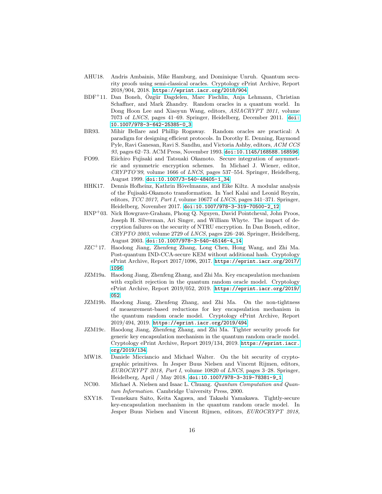- <span id="page-15-10"></span>AHU18. Andris Ambainis, Mike Hamburg, and Dominique Unruh. Quantum security proofs using semi-classical oracles. Cryptology ePrint Archive, Report 2018/904, 2018. <https://eprint.iacr.org/2018/904>.
- <span id="page-15-3"></span> $BDF<sup>+</sup>11.$  Dan Boneh, Özgür Dagdelen, Marc Fischlin, Anja Lehmann, Christian Schaffner, and Mark Zhandry. Random oracles in a quantum world. In Dong Hoon Lee and Xiaoyun Wang, editors, ASIACRYPT 2011, volume 7073 of LNCS, pages 41–69. Springer, Heidelberg, December 2011. [doi:](http://dx.doi.org/10.1007/978-3-642-25385-0_3) [10.1007/978-3-642-25385-0\\_3](http://dx.doi.org/10.1007/978-3-642-25385-0_3).
- <span id="page-15-2"></span>BR93. Mihir Bellare and Phillip Rogaway. Random oracles are practical: A paradigm for designing efficient protocols. In Dorothy E. Denning, Raymond Pyle, Ravi Ganesan, Ravi S. Sandhu, and Victoria Ashby, editors, ACM CCS 93, pages 62–73. ACM Press, November 1993. [doi:10.1145/168588.168596](http://dx.doi.org/10.1145/168588.168596).
- <span id="page-15-1"></span>FO99. Eiichiro Fujisaki and Tatsuaki Okamoto. Secure integration of asymmetric and symmetric encryption schemes. In Michael J. Wiener, editor, CRYPTO'99, volume 1666 of LNCS, pages 537–554. Springer, Heidelberg, August 1999. [doi:10.1007/3-540-48405-1\\_34](http://dx.doi.org/10.1007/3-540-48405-1_34).
- <span id="page-15-4"></span>HHK17. Dennis Hofheinz, Kathrin Hövelmanns, and Eike Kiltz. A modular analysis of the Fujisaki-Okamoto transformation. In Yael Kalai and Leonid Reyzin, editors, TCC 2017, Part I, volume 10677 of LNCS, pages 341–371. Springer, Heidelberg, November 2017. [doi:10.1007/978-3-319-70500-2\\_12](http://dx.doi.org/10.1007/978-3-319-70500-2_12).
- <span id="page-15-0"></span>HNP<sup>+</sup>03. Nick Howgrave-Graham, Phong Q. Nguyen, David Pointcheval, John Proos, Joseph H. Silverman, Ari Singer, and William Whyte. The impact of decryption failures on the security of NTRU encryption. In Dan Boneh, editor, CRYPTO 2003, volume 2729 of LNCS, pages 226–246. Springer, Heidelberg, August 2003. [doi:10.1007/978-3-540-45146-4\\_14](http://dx.doi.org/10.1007/978-3-540-45146-4_14).
- <span id="page-15-6"></span>JZC<sup>+</sup>17. Haodong Jiang, Zhenfeng Zhang, Long Chen, Hong Wang, and Zhi Ma. Post-quantum IND-CCA-secure KEM without additional hash. Cryptology ePrint Archive, Report 2017/1096, 2017. [https://eprint.iacr.org/2017/](https://eprint.iacr.org/2017/1096) [1096](https://eprint.iacr.org/2017/1096).
- <span id="page-15-7"></span>JZM19a. Haodong Jiang, Zhenfeng Zhang, and Zhi Ma. Key encapsulation mechanism with explicit rejection in the quantum random oracle model. Cryptology ePrint Archive, Report 2019/052, 2019. [https://eprint.iacr.org/2019/](https://eprint.iacr.org/2019/052) [052](https://eprint.iacr.org/2019/052).
- <span id="page-15-9"></span>JZM19b. Haodong Jiang, Zhenfeng Zhang, and Zhi Ma. On the non-tightness of measurement-based reductions for key encapsulation mechanism in the quantum random oracle model. Cryptology ePrint Archive, Report 2019/494, 2019. <https://eprint.iacr.org/2019/494>.
- <span id="page-15-8"></span>JZM19c. Haodong Jiang, Zhenfeng Zhang, and Zhi Ma. Tighter security proofs for generic key encapsulation mechanism in the quantum random oracle model. Cryptology ePrint Archive, Report 2019/134, 2019. [https://eprint.iacr.](https://eprint.iacr.org/2019/134) [org/2019/134](https://eprint.iacr.org/2019/134).
- <span id="page-15-11"></span>MW18. Daniele Micciancio and Michael Walter. On the bit security of cryptographic primitives. In Jesper Buus Nielsen and Vincent Rijmen, editors, EUROCRYPT 2018, Part I, volume 10820 of LNCS, pages 3–28. Springer, Heidelberg, April / May 2018. [doi:10.1007/978-3-319-78381-9\\_1](http://dx.doi.org/10.1007/978-3-319-78381-9_1).
- <span id="page-15-12"></span>NC00. Michael A. Nielsen and Isaac L. Chuang. Quantum Computation and Quantum Information. Cambridge University Press, 2000.
- <span id="page-15-5"></span>SXY18. Tsunekazu Saito, Keita Xagawa, and Takashi Yamakawa. Tightly-secure key-encapsulation mechanism in the quantum random oracle model. In Jesper Buus Nielsen and Vincent Rijmen, editors, EUROCRYPT 2018,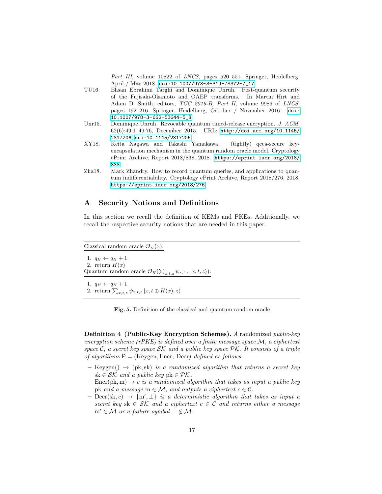Part III, volume 10822 of LNCS, pages 520–551. Springer, Heidelberg, April / May 2018. [doi:10.1007/978-3-319-78372-7\\_17](http://dx.doi.org/10.1007/978-3-319-78372-7_17).

- <span id="page-16-0"></span>TU16. Ehsan Ebrahimi Targhi and Dominique Unruh. Post-quantum security of the Fujisaki-Okamoto and OAEP transforms. In Martin Hirt and Adam D. Smith, editors, TCC 2016-B, Part II, volume 9986 of LNCS, pages 192–216. Springer, Heidelberg, October / November 2016. [doi:](http://dx.doi.org/10.1007/978-3-662-53644-5_8) [10.1007/978-3-662-53644-5\\_8](http://dx.doi.org/10.1007/978-3-662-53644-5_8).
- <span id="page-16-2"></span>Unr15. Dominique Unruh. Revocable quantum timed-release encryption. J. ACM, 62(6):49:1–49:76, December 2015. URL: [http://doi.acm.org/10.1145/](http://doi.acm.org/10.1145/2817206) [2817206](http://doi.acm.org/10.1145/2817206), [doi:10.1145/2817206](http://dx.doi.org/10.1145/2817206).
- <span id="page-16-1"></span>XY18. Keita Xagawa and Takashi Yamakawa. (tightly) qcca-secure keyencapsulation mechanism in the quantum random oracle model. Cryptology ePrint Archive, Report 2018/838, 2018. [https://eprint.iacr.org/2018/](https://eprint.iacr.org/2018/838) [838](https://eprint.iacr.org/2018/838).
- <span id="page-16-4"></span>Zha18. Mark Zhandry. How to record quantum queries, and applications to quantum indifferentiability. Cryptology ePrint Archive, Report 2018/276, 2018. <https://eprint.iacr.org/2018/276>.

## <span id="page-16-3"></span>A Security Notions and Definitions

In this section we recall the definition of KEMs and PKEs. Additionally, we recall the respective security notions that are needed in this paper.

Classical random oracle  $\mathcal{O}_H(x)$ :

1.  $q_H \leftarrow q_H + 1$ 2. return  $H(x)$ Quantum random oracle  $\mathcal{O}_H(\sum_{x,t,z} \psi_{x,t,z} | x,t,z)$ : 1.  $q_H \leftarrow q_H + 1$ 

2. return  $\sum_{x,t,z} \psi_{x,t,z} |x,t \oplus H(x),z\rangle$ 

Fig. 5. Definition of the classical and quantum random oracle

Definition 4 (Public-Key Encryption Schemes). A randomized public-key encryption scheme ( $rPKE$ ) is defined over a finite message space  $M$ , a ciphertext space C, a secret key space  $\mathcal{SK}$  and a public key space  $\mathcal{PK}$ . It consists of a triple of algorithms  $P = (Keygen, Encr, Decr)$  defined as follows.

- $-$  Keygen()  $\rightarrow$  (pk, sk) is a randomized algorithm that returns a secret key  $sk \in \mathcal{SK}$  and a public key pk  $\in \mathcal{PK}$ .
- $\text{Enc}(\text{pk}, \text{m}) \rightarrow c$  is a randomized algorithm that takes as input a public key pk and a message  $m \in \mathcal{M}$ , and outputs a ciphertext  $c \in \mathcal{C}$ .
- $\text{ Dec}(sk, c) \rightarrow \{m', \perp\}$  is a deterministic algorithm that takes as input a secret key sk  $\in$  SK and a ciphertext  $c \in \mathcal{C}$  and returns either a message  $m' \in \mathcal{M}$  or a failure symbol  $\perp \notin \mathcal{M}$ .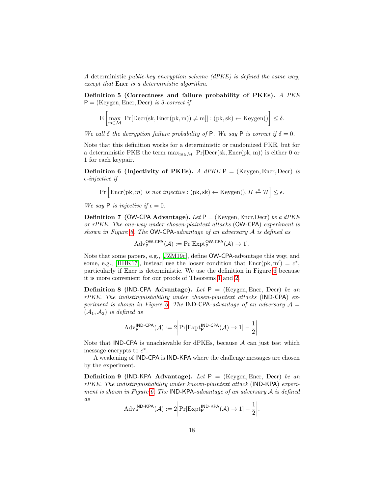A deterministic public-key encryption scheme (dPKE) is defined the same way, except that Encr is a deterministic algorithm.

<span id="page-17-2"></span>Definition 5 (Correctness and failure probability of PKEs). A PKE  $P = (Keygen, Encr, Decr)$  is  $\delta$ -correct if

$$
E\left[\underset{m\in\mathcal{M}}{\max}\;\Pr[\text{Decr}(sk,\text{Encr}(pk,m))\neq m]]:(pk,sk)\leftarrow\text{Keygen}()\right]\leq\delta.
$$

We call  $\delta$  the decryption failure probability of P. We say P is correct if  $\delta = 0$ .

Note that this definition works for a deterministic or randomized PKE, but for a deterministic PKE the term  $\max_{m \in \mathcal{M}} P_r[Decr(s_k, Encr(pk, m))]$  is either 0 or 1 for each keypair.

<span id="page-17-0"></span>**Definition 6 (Injectivity of PKEs).** A dPKE  $P = (Keygen, Encr, Decr)$  is  $\epsilon$ -injective if

 $\Pr\left[\text{Enc}(\text{pk}, m) \text{ is not injective} : (\text{pk}, \text{sk}) \leftarrow \text{Keygen}(0, H \leftarrow^* \mathcal{H}) \leq \epsilon. \right]$ 

We say P is injective if  $\epsilon = 0$ .

**Definition 7 (OW-CPA Advantage).** Let  $P =$  (Keygen, Encr, Decr) be a dPKE or rPKE. The one-way under chosen-plaintext attacks (OW-CPA) experiment is shown in Figure [6.](#page-18-2) The OW-CPA-advantage of an adversary A is defined as

$$
\mathrm{Adv}_{\mathsf{P}}^{\mathsf{OW-CPA}}(\mathcal{A}) := \mathrm{Pr}[\mathrm{Expt}_{\mathsf{P}}^{\mathsf{OW-CPA}}(\mathcal{A}) \to 1].
$$

Note that some papers, e.g., [\[JZM19c\]](#page-15-8), define OW-CPA-advantage this way, and some, e.g., [\[HHK17\]](#page-15-4), instead use the looser condition that  $\text{Encr}(pk, m') = c^*$ , particularly if Encr is deterministic. We use the definition in Figure [6](#page-18-2) because it is more convenient for our proofs of Theorems [1](#page-7-0) and [2.](#page-9-0)

**Definition 8 (IND-CPA Advantage).** Let  $P = (Keygen, Encr, Decr)$  be an  $rPKE$ . The indistinguishability under chosen-plaintext attacks (IND-CPA) ex-periment is shown in Figure [6.](#page-18-2) The IND-CPA-advantage of an adversary  $\mathcal{A} =$  $(\mathcal{A}_1, \mathcal{A}_2)$  is defined as

$$
Adv_{\mathsf{P}}^{\mathsf{IND}\text{-}\mathsf{CPA}}(\mathcal{A}) := 2 \bigg| \Pr[\mathrm{Expt}_{\mathsf{P}}^{\mathsf{IND}\text{-}\mathsf{CPA}}(\mathcal{A}) \to 1] - \frac{1}{2} \bigg|.
$$

Note that **IND-CPA** is unachievable for dPKEs, because  $A$  can just test which message encrypts to  $c^*$ .

A weakening of IND-CPA is IND-KPA where the challenge messages are chosen by the experiment.

<span id="page-17-1"></span>**Definition 9 (IND-KPA Advantage).** Let  $P = (Keygen, Encr, Decr)$  be an rPKE. The indistinguishability under known-plaintext attack (IND-KPA) experi-ment is shown in Figure [6.](#page-18-2) The IND-KPA-advantage of an adversary A is defined as

$$
Adv_{\mathsf{P}}^{\mathsf{IND}\text{-}\mathsf{KPA}}(\mathcal{A}) := 2 \bigg| Pr[Expt_{\mathsf{P}}^{\mathsf{IND}\text{-}\mathsf{KPA}}(\mathcal{A}) \to 1] - \frac{1}{2} \bigg|.
$$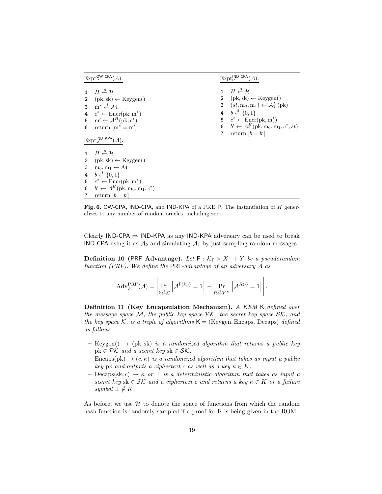$\mathrm{Expt}_{\mathsf{P}}^{\mathsf{OW-CPA}}(\mathcal{A})$ :

 $H \overset{\$}{\leftarrow} \mathcal{H}$  $(\text{pk}, \text{sk}) \leftarrow \text{Keygen}()$  $m^* \xleftarrow{\$} M$  $4 \quad c^* \leftarrow \text{Encr}(\text{pk}, \text{m}^*)$ 5 m'  $\leftarrow$  A<sup>H</sup>(pk, c<sup>\*</sup>) 6 return  $[m^* = m']$  $\mathrm{Expt}_{\mathsf{P}}^{\mathsf{IND}\text{-}\mathsf{KPA}}(\mathcal{A})$ :  $H \overset{\$}{\leftarrow} \mathcal{H}$  $(\text{pk}, \text{sk}) \leftarrow \text{Keygen}()$  $m_0, m_1 \leftarrow M$  $b \stackrel{\hspace{0.1em}\mathsf{\scriptscriptstyle\$}}{\leftarrow} \{0,1\}$  $c^* \leftarrow \text{Encr}(\text{pk}, \text{m}_b^*)$  $b' \leftarrow A^H(\text{pk}, m_0, m_1, c^*)$ 7 return  $[b = b']$ 

 $\mathrm{Expt}_{\mathsf{P}}^{\mathsf{IND}\text{-}\mathsf{CPA}}(\mathcal{A})$ :

 $H \overset{\$}{\leftarrow} \mathcal{H}$  $(pk, sk) \leftarrow Keygen()$  $(st, m_0, m_1) \leftarrow \mathcal{A}_1^H(\text{pk})$  $b \stackrel{\$}{\leftarrow} \{0,1\}$  $c^* \leftarrow \text{Encr}(\text{pk}, \text{m}_b^*)$  $b' \leftarrow A_2^H(\text{pk}, m_0, m_1, c^*, st)$ 7 return  $[b = b']$ 

<span id="page-18-2"></span>Fig. 6. OW-CPA, IND-CPA, and IND-KPA of a PKE P. The instantiation of  $H$  generalizes to any number of random oracles, including zero.

Clearly IND-CPA  $\Rightarrow$  IND-KPA as any IND-KPA adversary can be used to break IND-CPA using it as  $A_2$  and simulating  $A_1$  by just sampling random messages.

<span id="page-18-0"></span>**Definition 10 (PRF Advantage).** Let  $F : \mathcal{K}_F \times X \to Y$  be a pseudorandom function (PRF). We define the PRF-advantage of an adversary A as

$$
Adv_{F}^{\text{PRF}}(\mathcal{A}) = \left| \Pr_{k \stackrel{\text{def}}{=} \mathcal{K}} \left[ \mathcal{A}^{\mathsf{F}(k, \cdot)} = 1 \right] - \Pr_{R \stackrel{\text{def}}{=} Y^X} \left[ \mathcal{A}^{R(\cdot)} = 1 \right] \right|.
$$

Definition 11 (Key Encapsulation Mechanism). A KEM K defined over the message space M, the public key space  $\mathcal{PK}$ , the secret key space  $\mathcal{SK}$ , and the key space K, is a triple of algorithms  $K = (Keygen, Encaps, Decaps)$  defined as follows.

- $-$  Keygen()  $\rightarrow$  (pk, sk) is a randomized algorithm that returns a public key  $pk \in \mathcal{PK}$  and a secret key sk  $\in \mathcal{SK}$ .
- Encaps(pk)  $\rightarrow$  (c,  $\kappa$ ) is a randomized algorithm that takes as input a public key pk and outputs a ciphertext c as well as a key  $\kappa \in K$ .
- Decaps(sk, c)  $\rightarrow \kappa$  or  $\perp$  is a deterministic algorithm that takes as input a secret key sk  $\in$  SK and a ciphertext c and returns a key  $\kappa \in K$  or a failure symbol  $\bot \notin K$ .

<span id="page-18-1"></span>As before, we use  $H$  to denote the space of functions from which the random hash function is randomly sampled if a proof for K is being given in the ROM.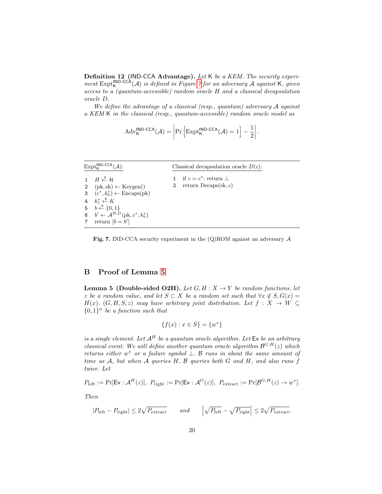Definition 12 (IND-CCA Advantage). Let K be a KEM. The security experiment  $\text{Expt}_{\mathsf{K}}^{\textsf{IND-CCA}}(\mathcal{A})$  is defined in Figure [7](#page-19-1) for an adversary  $\mathcal A$  against  $\mathsf K$ , given access to a (quantum-accessible) random oracle H and a classical decapsulation oracle D.

We define the advantage of a classical (resp., quantum) adversary A against a KEM K in the classical (resp., quantum-accessible) random oracle model as

$$
Adv_{\mathsf{K}}^{\mathsf{IND}\text{-}\mathsf{CCA}}(\mathcal{A}) = \left| \Pr \left[ \mathrm{Expt}_{\mathsf{K}}^{\mathsf{IND}\text{-}\mathsf{CCA}}(\mathcal{A}) = 1 \right] - \frac{1}{2} \right|.
$$

| $\mathrm{Expt}_{\mathsf{K}}^{\mathsf{IND}\text{-}\mathsf{CCA}}(\mathcal{A})$ : | Classical decapsulation oracle $D(c)$ : |
|--------------------------------------------------------------------------------|-----------------------------------------|
| 1 $H \stackrel{\$}{\leftarrow} H$                                              | if $c = c^*$ : return $\perp$           |
| 2 $(\text{pk}, \text{sk}) \leftarrow \text{Keygen}()$                          | 2 return Decaps $(\text{sk}, c)$        |
| 3 $(c^*, k_0^*) \leftarrow$ Encaps(pk)                                         |                                         |
| 4 $k_1^* \leftarrow K$                                                         |                                         |
| 5 $b \stackrel{\$}{\leftarrow} \{0,1\}$                                        |                                         |
| 6 $b' \leftarrow A^{H,D}(\text{pk}, c^*, k_b^*)$                               |                                         |
| 7 return $[b = b']$                                                            |                                         |

<span id="page-19-1"></span>Fig. 7. IND-CCA security experiment in the  $(Q)$ ROM against an adversary  $A$ 

## <span id="page-19-0"></span>B Proof of Lemma [5](#page-6-0)

**Lemma 5 (Double-sided O2H).** Let  $G, H : X \rightarrow Y$  be random functions, let z be a random value, and let  $S \subset X$  be a random set such that  $\forall x \notin S, G(x) =$ H(x). (G, H, S, z) may have arbitrary joint distribution. Let  $f: X \to W \subseteq$  ${0,1}^n$  be a function such that

$$
\{f(x) : x \in S\} = \{w^*\}
$$

is a single element. Let  $A^H$  be a quantum oracle algorithm. Let  $Ev$  be an arbitrary classical event. We will define another quantum oracle algorithm  $\mathcal{B}^{G,H}(z)$  which returns either  $w^*$  or a failure symbol  $\bot$ . B runs in about the same amount of time as  $A$ , but when  $A$  queries  $H$ ,  $B$  queries both  $G$  and  $H$ , and also runs  $f$ twice. Let

$$
P_{\text{left}} := \Pr[\mathsf{Ev} : \mathcal{A}^H(z)], \ P_{\text{right}} := \Pr[\mathsf{Ev} : \mathcal{A}^G(z)], \ P_{\text{extract}} := \Pr[\mathcal{B}^{G,H}(z) \to w^*].
$$

Then

$$
|P_{\text{left}} - P_{\text{right}}| \le 2\sqrt{P_{\text{extract}}} \qquad \text{and} \qquad \left| \sqrt{P_{\text{left}} - \sqrt{P_{\text{right}}}} \right| \le 2\sqrt{P_{\text{extract}}}.
$$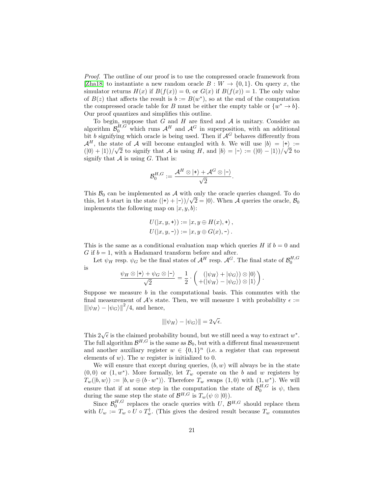Proof. The outline of our proof is to use the compressed oracle framework from [\[Zha18\]](#page-16-4) to instantiate a new random oracle  $B: W \to \{0, 1\}$ . On query x, the simulator returns  $H(x)$  if  $B(f(x)) = 0$ , or  $G(x)$  if  $B(f(x)) = 1$ . The only value of  $B(z)$  that affects the result is  $b := B(w^*)$ , so at the end of the computation the compressed oracle table for B must be either the empty table or  $\{w^* \to b\}.$ Our proof quantizes and simplifies this outline.

To begin, suppose that  $G$  and  $H$  are fixed and  $A$  is unitary. Consider an algorithm  $\mathcal{B}_0^{H,G}$  which runs  $\mathcal{A}^H$  and  $\mathcal{A}^G$  in superposition, with an additional bit b signifying which oracle is being used. Then if  $\mathcal{A}^G$  behaves differently from  $\mathcal{A}^H$ , the state of A will become entangled with b. We will use  $|b\rangle = |+\rangle :=$  $(|0\rangle + |1\rangle)/\sqrt{2}$  to signify that A is using H, and  $|b\rangle = |-\rangle := (|0\rangle - |1\rangle)/\sqrt{2}$  to signify that  $A$  is using  $G$ . That is:

$$
\mathcal{B}_0^{H,G}:=\frac{\mathcal{A}^H\otimes\ket*+\mathcal{A}^G\otimes\ket*}{\sqrt{2}}.
$$

This  $\mathcal{B}_0$  can be implemented as  $\mathcal A$  with only the oracle queries changed. To do this, let b start in the state  $(|+\rangle + |-\rangle)/\sqrt{2} = |0\rangle$ . When A queries the oracle,  $\mathcal{B}_0$ implements the following map on  $|x, y, b\rangle$ :

$$
U(|x, y, \star\rangle) := |x, y \oplus H(x), \star\rangle,
$$
  

$$
U(|x, y, \star\rangle) := |x, y \oplus G(x), \star\rangle.
$$

This is the same as a conditional evaluation map which queries H if  $b = 0$  and G if  $b = 1$ , with a Hadamard transform before and after.

Let  $\psi_H$  resp.  $\psi_G$  be the final states of  $\mathcal{A}^H$  resp.  $\mathcal{A}^G$ . The final state of  $\mathcal{B}_0^{H,G}$ is

$$
\frac{\psi_H \otimes |+\rangle + \psi_G \otimes |-\rangle}{\sqrt{2}} = \frac{1}{2} \cdot \begin{pmatrix} (|\psi_H\rangle + |\psi_G\rangle) \otimes |0\rangle \\ + (|\psi_H\rangle - |\psi_G\rangle) \otimes |1\rangle \end{pmatrix}.
$$

Suppose we measure  $b$  in the computational basis. This commutes with the final measurement of A's state. Then, we will measure 1 with probability  $\epsilon$  :=  $\left\|\ket{\psi_H}-\ket{\psi_G}\right\|^2/4$ , and hence,

$$
\|\ket{\psi_H} - \ket{\psi_G}\| = 2\sqrt{\epsilon}.
$$

This  $2\sqrt{\epsilon}$  is the claimed probability bound, but we still need a way to extract  $w^*$ . The full algorithm  $\mathcal{B}^{H,G}$  is the same as  $\mathcal{B}_0$ , but with a different final measurement and another auxiliary register  $w \in \{0,1\}^n$  (i.e. a register that can represent elements of  $w$ ). The  $w$  register is initialized to 0.

We will ensure that except during queries,  $(b, w)$  will always be in the state  $(0,0)$  or  $(1, w^*)$ . More formally, let  $T_w$  operate on the b and w registers by  $T_w(|b, w\rangle) := |b, w \oplus (b \cdot w^*)\rangle$ . Therefore  $T_w$  swaps  $(1, 0)$  with  $(1, w^*)$ . We will ensure that if at some step in the computation the state of  $\mathcal{B}_0^{H,G}$  is  $\psi$ , then during the same step the state of  $\mathcal{B}^{H,G}$  is  $T_w(\psi \otimes |0\rangle)$ .

Since  $\mathcal{B}_0^{H,G}$  replaces the oracle queries with U,  $\mathcal{B}^{H,G}$  should replace them with  $U_w := T_w \circ U \circ T_w^{\dagger}$ . (This gives the desired result because  $T_w$  commutes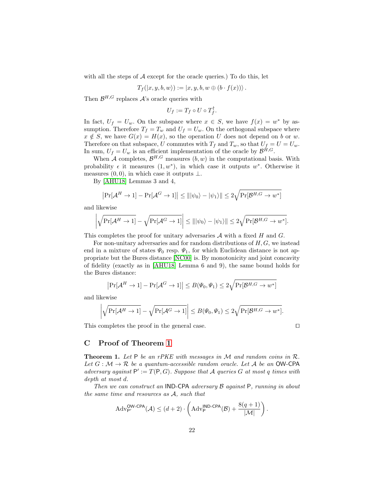with all the steps of  $A$  except for the oracle queries.) To do this, let

$$
T_f(|x, y, b, w\rangle) := |x, y, b, w \oplus (b \cdot f(x))\rangle.
$$

Then  $\mathcal{B}^{H,G}$  replaces  $\mathcal{A}$ 's oracle queries with

$$
U_f:=T_f\circ U\circ T_f^\dagger.
$$

In fact,  $U_f = U_w$ . On the subspace where  $x \in S$ , we have  $f(x) = w^*$  by assumption. Therefore  $T_f = T_w$  and  $U_f = U_w$ . On the orthogonal subspace where  $x \notin S$ , we have  $G(x) = H(x)$ , so the operation U does not depend on b or w. Therefore on that subspace, U commutes with  $T_f$  and  $T_w$ , so that  $U_f = U = U_w$ . In sum,  $U_f = U_w$  is an efficient implementation of the oracle by  $\mathcal{B}^{H,G}$ .

When A completes,  $\mathcal{B}^{H,G}$  measures  $(b, w)$  in the computational basis. With probability  $\epsilon$  it measures  $(1, w^*)$ , in which case it outputs  $w^*$ . Otherwise it measures  $(0, 0)$ , in which case it outputs  $\bot$ .

By [\[AHU18\]](#page-15-10) Lemmas 3 and 4,

$$
\left|\Pr[\mathcal{A}^H \to 1] - \Pr[\mathcal{A}^G \to 1]\right| \le |||\psi_0\rangle - |\psi_1\rangle|| \le 2\sqrt{\Pr[\mathcal{B}^{H,G} \to w^*]}
$$

and likewise

$$
\left| \sqrt{\Pr[\mathcal{A}^H \to 1]} - \sqrt{\Pr[\mathcal{A}^G \to 1]} \right| \le |||\psi_0\rangle - |\psi_1\rangle|| \le 2\sqrt{\Pr[\mathcal{B}^{H,G} \to w^*]}.
$$

This completes the proof for unitary adversaries  $A$  with a fixed  $H$  and  $G$ .

For non-unitary adversaries and for random distributions of  $H, G$ , we instead end in a mixture of states  $\Psi_0$  resp.  $\Psi_1$ , for which Euclidean distance is not appropriate but the Bures distance [\[NC00\]](#page-15-12) is. By monotonicity and joint concavity of fidelity (exactly as in [\[AHU18\]](#page-15-10) Lemma 6 and 9), the same bound holds for the Bures distance:

$$
\left|\Pr[\mathcal{A}^H \to 1] - \Pr[\mathcal{A}^G \to 1]\right| \le B(\Psi_0, \Psi_1) \le 2\sqrt{\Pr[\mathcal{B}^{H,G} \to w^*]}
$$

and likewise

$$
\left|\sqrt{\Pr[\mathcal{A}^H \to 1]} - \sqrt{\Pr[\mathcal{A}^G \to 1]}\right| \le B(\Psi_0, \Psi_1) \le 2\sqrt{\Pr[\mathcal{B}^{H,G} \to w^*]}.
$$

This completes the proof in the general case.  $\Box$ 

## <span id="page-21-0"></span>C Proof of Theorem [1](#page-7-0)

**Theorem 1.** Let  $P$  be an rPKE with messages in  $M$  and random coins in  $R$ . Let  $G : \mathcal{M} \to \mathcal{R}$  be a quantum-accessible random oracle. Let A be an OW-CPA adversary against  $P' := T(P, G)$ . Suppose that A queries G at most q times with depth at most d.

Then we can construct an IND-CPA adversary B against P, running in about the same time and resources as A, such that

$$
Adv_{\mathsf{P}'}^{\mathsf{OW-CPA}}(\mathcal{A}) \leq (d+2) \cdot \left( \mathrm{Adv}_{\mathsf{P}}^{\mathsf{IND-CPA}}(\mathcal{B}) + \frac{8(q+1)}{|\mathcal{M}|} \right).
$$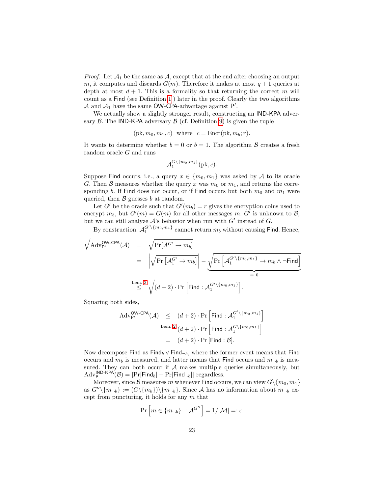*Proof.* Let  $\mathcal{A}_1$  be the same as  $\mathcal{A}$ , except that at the end after choosing an output m, it computes and discards  $G(m)$ . Therefore it makes at most  $q+1$  queries at depth at most  $d + 1$ . This is a formality so that returning the correct m will count as a Find (see Definition [1\]](#page-4-1)) later in the proof. Clearly the two algorithms  $A$  and  $A_1$  have the same OW-CPA-advantage against P'.

We actually show a slightly stronger result, constructing an IND-KPA adversary  $\beta$ . The IND-KPA adversary  $\beta$  (cf. Definition [9\)](#page-17-1) is given the tuple

$$
(pk, m_0, m_1, c)
$$
 where  $c = \text{Encr}(pk, m_b; r)$ .

It wants to determine whether  $b = 0$  or  $b = 1$ . The algorithm  $\beta$  creates a fresh random oracle G and runs

$$
\mathcal{A}_1^{G\setminus\{m_0,m_1\}}(\text{pk},c).
$$

Suppose Find occurs, i.e., a query  $x \in \{m_0, m_1\}$  was asked by A to its oracle G. Then B measures whether the query x was  $m_0$  or  $m_1$ , and returns the corresponding b. If Find does not occur, or if Find occurs but both  $m_0$  and  $m_1$  were queried, then  $\beta$  guesses b at random.

Let G' be the oracle such that  $G'(m_b) = r$  gives the encryption coins used to encrypt  $m_b$ , but  $G'(m) = G(m)$  for all other messages m.  $G'$  is unknown to  $\mathcal{B}$ , but we can still analyze  $A$ 's behavior when run with  $G'$  instead of  $G$ .

By construction,  $\mathcal{A}_1^{G' \setminus \{m_0,m_1\}}$  cannot return  $m_b$  without causing Find. Hence,

$$
\begin{array}{rcl} \displaystyle \sqrt{{\rm{Adv}}_{\mathsf{P}'}^{\mathsf{OW}\text{-}\mathsf{CPA}}(\mathcal{A})} & = & \displaystyle \sqrt{\Pr[\mathcal{A}^{G'} \to m_b]} \\ \\ & = & \displaystyle \left| \sqrt{\Pr\left[\mathcal{A}^{G'}_1 \to m_b\right]} \right| - \underbrace{\sqrt{\Pr\left[\mathcal{A}^{G'}_1 \backslash \{m_0, m_1\} \to m_b \, \land \, \neg \mathsf{Find}\right]}}_{\displaystyle = \, 0} \\ \\ & & \stackrel{\mathsf{Lem.}\,3}{\leq} \sqrt{(d+2) \cdot \Pr\left[\mathsf{Find}: \mathcal{A}^{G' \backslash \{m_0, m_1\}}_1\right] }_{\displaystyle = \, 0} \end{array}
$$

Squaring both sides,

$$
\begin{array}{rcl}\n\mathrm{Adv}_{\mathsf{P}'}^{\mathsf{OW}\text{-}\mathsf{CPA}}(\mathcal{A}) & \leq & (d+2) \cdot \Pr\left[\mathsf{Find}: \mathcal{A}_1^{G'\setminus\{m_0, m_1\}}\right] \\
& \xrightarrow{\mathrm{Lem. 2}} \left(d+2\right) \cdot \Pr\left[\mathsf{Find}: \mathcal{A}_1^{G\setminus\{m_0, m_1\}}\right] \\
& = & (d+2) \cdot \Pr\left[\mathsf{Find}: \mathcal{B}\right].\n\end{array}
$$

Now decompose Find as Find<sub>b</sub> ∨ Find<sub>¬b</sub>, where the former event means that Find occurs and  $m_b$  is measured, and latter means that Find occurs and  $m_{\neg b}$  is measured. They can both occur if  $A$  makes multiple queries simultaneously, but  $\text{Adv}_{\mathsf{P}}^{\mathsf{IND}\text{-}\mathsf{KPA}}(\mathcal{B}) = |\Pr[\mathsf{Find}_b] - \Pr[\mathsf{Find}_{\neg b}]| \text{ regardless.}$ 

Moreover, since B measures m whenever Find occurs, we can view  $G\backslash\{m_0, m_1\}$ as  $G''\setminus\{m_{\neg b}\} := (G\setminus\{m_b\})\setminus\{m_{\neg b}\}.$  Since A has no information about  $m_{\neg b}$  except from puncturing, it holds for any  $m$  that

$$
\Pr\left[m \in \{m_{\neg b}\} : \mathcal{A}^{G''}\right] = 1/|\mathcal{M}| =: \epsilon.
$$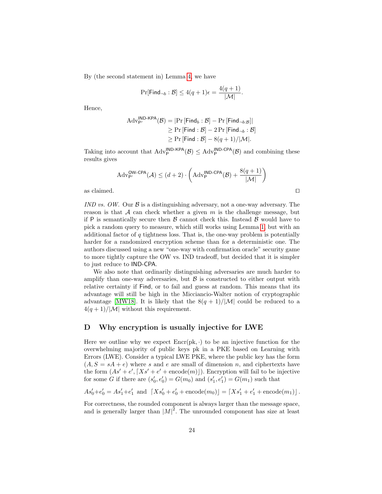By (the second statement in) Lemma [4,](#page-5-2) we have

$$
\Pr[\mathsf{Find}_{\neg b} : \mathcal{B}] \le 4(q+1)\epsilon = \frac{4(q+1)}{|\mathcal{M}|}.
$$

Hence,

$$
\begin{aligned} \text{Adv}_{\mathsf{P}'}^{\mathsf{IND}\text{-}\mathsf{KPA}}(\mathcal{B}) &= |\Pr\left[\mathsf{Find}_b : \mathcal{B}\right] - \Pr\left[\mathsf{Find}_{\neg b : \mathcal{B}}\right]| \\ &\geq \Pr\left[\mathsf{Find} : \mathcal{B}\right] - 2 \Pr\left[\mathsf{Find}_{\neg b} : \mathcal{B}\right] \\ &\geq \Pr\left[\mathsf{Find} : \mathcal{B}\right] - 8(q+1)/|\mathcal{M}|. \end{aligned}
$$

Taking into account that  $\text{Adv}_{\mathsf{P}}^{\mathsf{IND}\text{-}\mathsf{KPA}}(\mathcal{B}) \leq \text{Adv}_{\mathsf{P}}^{\mathsf{IND}\text{-}\mathsf{CPA}}(\mathcal{B})$  and combining these results gives

$$
\mathrm{Adv}_{\mathsf{P}'}^{\mathsf{OW-CPA}}(\mathcal{A}) \leq (d+2) \cdot \left(\mathrm{Adv}_{\mathsf{P}}^{\mathsf{IND-CPA}}(\mathcal{B}) + \frac{8(q+1)}{|\mathcal{M}|}\right)
$$
 as claimed.

IND vs. OW. Our  $\beta$  is a distinguishing adversary, not a one-way adversary. The reason is that  $A$  can check whether a given m is the challenge message, but if P is semantically secure then  $\beta$  cannot check this. Instead  $\beta$  would have to pick a random query to measure, which still works using Lemma [1,](#page-3-1) but with an additional factor of  $q$  tightness loss. That is, the one-way problem is potentially harder for a randomized encryption scheme than for a deterministic one. The authors discussed using a new "one-way with confirmation oracle" security game to more tightly capture the OW vs. IND tradeoff, but decided that it is simpler to just reduce to IND-CPA.

We also note that ordinarily distinguishing adversaries are much harder to amplify than one-way adversaries, but  $\beta$  is constructed to either output with relative certainty if Find, or to fail and guess at random. This means that its advantage will still be high in the Micciancio-Walter notion of cryptographic advantage [\[MW18\]](#page-15-11). It is likely that the  $8(q + 1)/|\mathcal{M}|$  could be reduced to a  $4(q+1)/|\mathcal{M}|$  without this requirement.

## <span id="page-23-0"></span>D Why encryption is usually injective for LWE

Here we outline why we expect  $\text{Enc}(\text{pk}, \cdot)$  to be an injective function for the overwhelming majority of public keys pk in a PKE based on Learning with Errors (LWE). Consider a typical LWE PKE, where the public key has the form  $(A, S = sA + e)$  where s and e are small of dimension n, and ciphertexts have the form  $(As' + e', [Xs' + e' + \text{encode}(m)])$ . Encryption will fail to be injective for some G if there are  $(s'_0, e'_0) = G(m_0)$  and  $(s'_1, e'_1) = G(m_1)$  such that

$$
As'_0 + e'_0 = As'_1 + e'_1
$$
 and  $[Xs'_0 + e'_0 + \text{encode}(m_0)] = [Xs'_1 + e'_1 + \text{encode}(m_1)]$ .

For correctness, the rounded component is always larger than the message space, and is generally larger than  $|M|^2$ . The unrounded component has size at least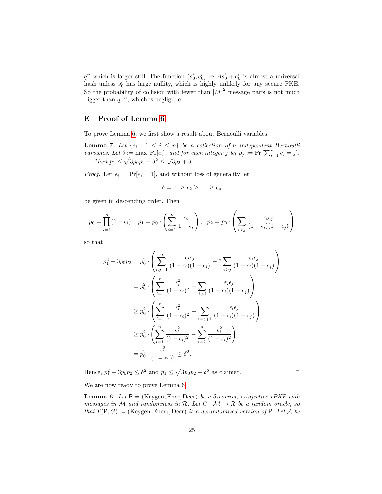$q^n$  which is larger still. The function  $(s'_0, e'_0) \rightarrow As'_0 + e'_0$  is almost a universal hash unless  $s'_0$  has large nullity, which is highly unlikely for any secure PKE. So the probability of collision with fewer than  $|M|^2$  message pairs is not much bigger than  $q^{-n}$ , which is negligible.

## <span id="page-24-0"></span>E Proof of Lemma [6](#page-12-0)

To prove Lemma [6,](#page-12-0) we first show a result about Bernoulli variables.

**Lemma 7.** Let  $\{e_i : 1 \leq i \leq n\}$  be a collection of n independent Bernoulli variables. Let  $\delta := \max \ \overline{\Pr}[e_i]$ , and for each integer  $j$  let  $p_j := \Pr[\sum_{i=1}^n e_i = j]$ . Then  $p_1 \leq \sqrt{3p_0p_2 + \delta^2} \leq \sqrt{3p_2} + \delta$ .

*Proof.* Let  $\epsilon_i := \Pr[e_i = 1]$ , and without loss of generality let

<span id="page-24-1"></span>
$$
\delta = \epsilon_1 \geq \epsilon_2 \geq \ldots \geq \epsilon_n
$$

be given in descending order. Then

$$
p_0 = \prod_{i=1}^n (1 - \epsilon_i), \quad p_1 = p_0 \cdot \left( \sum_{i=1}^n \frac{\epsilon_i}{1 - \epsilon_i} \right), \quad p_2 = p_0 \cdot \left( \sum_{i > j} \frac{\epsilon_i \epsilon_j}{(1 - \epsilon_i)(1 - \epsilon_j)} \right)
$$

so that

$$
p_1^2 - 3p_0p_2 = p_0^2 \cdot \left(\sum_{i,j=1}^n \frac{\epsilon_i \epsilon_j}{(1 - \epsilon_i)(1 - \epsilon_j)} - 3 \sum_{i>j} \frac{\epsilon_i \epsilon_j}{(1 - \epsilon_i)(1 - \epsilon_j)}\right)
$$
  
\n
$$
= p_0^2 \cdot \left(\sum_{i=1}^n \frac{\epsilon_i^2}{(1 - \epsilon_i)^2} - \sum_{i>j} \frac{\epsilon_i \epsilon_j}{(1 - \epsilon_i)(1 - \epsilon_j)}\right)
$$
  
\n
$$
\ge p_0^2 \cdot \left(\sum_{i=1}^n \frac{\epsilon_i^2}{(1 - \epsilon_i)^2} - \sum_{i=j+1} \frac{\epsilon_i \epsilon_j}{(1 - \epsilon_i)(1 - \epsilon_j)}\right)
$$
  
\n
$$
\ge p_0^2 \cdot \left(\sum_{i=1}^n \frac{\epsilon_i^2}{(1 - \epsilon_i)^2} - \sum_{i=2}^n \frac{\epsilon_i^2}{(1 - \epsilon_i)^2}\right)
$$
  
\n
$$
= p_0^2 \cdot \frac{\epsilon_1^2}{(1 - \epsilon_1)^2} \le \delta^2.
$$

Hence,  $p_1^2 - 3p_0p_2 \le \delta^2$  and  $p_1 \le \sqrt{3p_0p_2 + \delta^2}$  as claimed.

We are now ready to prove Lemma [6.](#page-12-0)

**Lemma 6.** Let  $P = (Keygen, Encr, Decr)$  be a  $\delta$ -correct,  $\epsilon$ -injective rPKE with messages in M and randomness in R. Let  $G : \mathcal{M} \to \mathcal{R}$  be a random oracle, so that  $T(P, G) :=$  (Keygen, Encr<sub>1</sub>, Decr) is a derandomized version of P. Let A be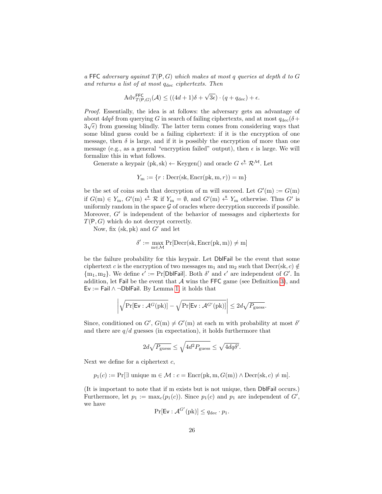a FFC adversary against  $T(P, G)$  which makes at most q queries at depth d to G and returns a list of at most  $q_{\text{dec}}$  ciphertexts. Then

$$
Adv_{T(P,G)}^{\text{FFC}}(\mathcal{A}) \le ((4d+1)\delta + \sqrt{3\epsilon}) \cdot (q + q_{\text{dec}}) + \epsilon.
$$

Proof. Essentially, the idea is at follows: the adversary gets an advantage of about  $4dq\delta$  from querying G in search of failing ciphertexts, and at most  $q_{\text{dec}}(\delta + \delta)$  $3\sqrt{\epsilon}$ ) from guessing blindly. The latter term comes from considering ways that some blind guess could be a failing ciphertext: if it is the encryption of one message, then  $\delta$  is large, and if it is possibly the encryption of more than one message (e.g., as a general "encryption failed" output), then  $\epsilon$  is large. We will formalize this in what follows.

Generate a keypair (pk, sk)  $\leftarrow$  Keygen() and oracle  $G \xleftarrow{\$} \mathcal{R}^{\mathcal{M}}$ . Let

$$
Y_m := \{r : \text{Decr}(sk, \text{Encr}(pk, m, r)) = m\}
$$

be the set of coins such that decryption of m will succeed. Let  $G'(m) := G(m)$ if  $G(m) \in Y_m$ ,  $G'(m) \stackrel{\hspace{0.1em}\mathsf{\scriptscriptstyle\$}}{\leftarrow} \mathcal{R}$  if  $Y_m = \emptyset$ , and  $G'(m) \stackrel{\hspace{0.1em}\mathsf{\scriptscriptstyle\$}}{\leftarrow} Y_m$  otherwise. Thus  $G'$  is uniformly random in the space  $G$  of oracles where decryption succeeds if possible. Moreover,  $G'$  is independent of the behavior of messages and ciphertexts for  $T(P, G)$  which do not decrypt correctly.

Now, fix (sk, pk) and  $G'$  and let

$$
\delta' := \max_{m \in \mathcal{M}} \Pr[\text{Decr}(sk, \text{Encr}(pk, m)) \neq m]
$$

be the failure probability for this keypair. Let DblFail be the event that some ciphertext c is the encryption of two messages  $m_1$  and  $m_2$  such that  $Decr(sk, c) \notin$  ${m_1, m_2}$ . We define  $\epsilon' := \Pr[\text{Db}|\text{fail}]$ . Both  $\delta'$  and  $\epsilon'$  are independent of  $G'$ . In addition, let Fail be the event that  $A$  wins the FFC game (see Definition [3\)](#page-8-1), and Ev := Fail ∧ ¬DblFail. By Lemma [1,](#page-3-1) it holds that

$$
\left| \sqrt{\Pr[\mathsf{Ev} : \mathcal{A}^G(\mathrm{pk})]} - \sqrt{\Pr[\mathsf{Ev} : \mathcal{A}^{G'}(\mathrm{pk})]} \right| \leq 2d\sqrt{P_{\text{guess}}}.
$$

Since, conditioned on  $G'$ ,  $G(m) \neq G'(m)$  at each m with probability at most  $\delta'$ and there are  $q/d$  guesses (in expectation), it holds furthermore that

$$
2d\sqrt{P_{\text{guess}}}\leq \sqrt{4d^2P_{\text{guess}}}\leq \sqrt{4dq\delta'}.
$$

Next we define for a ciphertext  $c$ ,

$$
p_1(c) := \Pr[\exists \text{ unique } m \in \mathcal{M} : c = \text{Encr}(pk, m, G(m)) \land \text{Decr}(sk, c) \neq m].
$$

(It is important to note that if m exists but is not unique, then DblFail occurs.) Furthermore, let  $p_1 := \max_c(p_1(c))$ . Since  $p_1(c)$  and  $p_1$  are independent of  $G'$ , we have

$$
\Pr[\mathsf{Ev} : \mathcal{A}^{G'}(\mathrm{pk})] \le q_{\text{dec}} \cdot p_1.
$$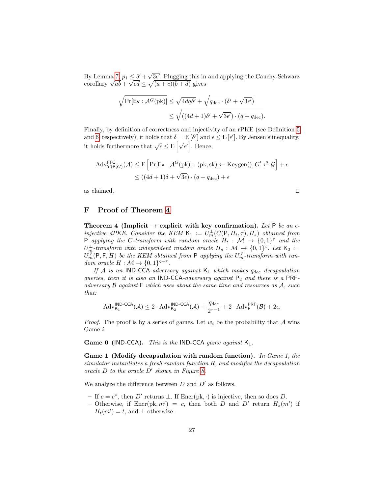By Lemma [7,](#page-24-1)  $p_1 \leq \delta' + \sqrt{\frac{p_1}{n}}$ By Lemma 7,  $p_1 \leq \delta' + \sqrt{3\epsilon'}$ . Plugging this in and applying the Cauchy-Schwarz corollary  $\sqrt{ab} + \sqrt{cd} \leq \sqrt{(a+c)(b+d)}$  gives  $\geq$  $\overline{cd} \leq \sqrt{(a+c)(b+d)}$  gives

$$
\sqrt{\Pr[\mathsf{Ev} : \mathcal{A}^G(\mathrm{pk})]} \le \sqrt{4dq\delta'} + \sqrt{q_{\text{dec}} \cdot (\delta' + \sqrt{3\epsilon'})} \\
 \le \sqrt{((4d+1)\delta' + \sqrt{3\epsilon'}) \cdot (q + q_{\text{dec}})}.
$$

Finally, by definition of correctness and injectivity of an rPKE (see Definition [5](#page-17-2) and [6,](#page-17-0) respectively), it holds that  $\delta = \mathbb{E}[\delta']$  and  $\epsilon \leq \mathbb{E}[\epsilon']$ . By Jensen's inequality, it holds furthermore that  $\sqrt{\epsilon} \leq E\left[\sqrt{\epsilon'}\right]$ . Hence,

$$
Adv_{T(P,G)}^{FFC}(\mathcal{A}) \leq E \left[ Pr[Ev : \mathcal{A}^G(pk)] : (pk, sk) \leftarrow Keygen(); G' \stackrel{\text{s}}{\leftarrow} \mathcal{G} \right] + \epsilon
$$
  

$$
\leq ((4d+1)\delta + \sqrt{3\epsilon}) \cdot (q + q_{dec}) + \epsilon
$$

as claimed.  $\square$ 

## <span id="page-26-0"></span>F Proof of Theorem [4](#page-13-1)

Theorem 4 (Implicit  $\rightarrow$  explicit with key confirmation). Let P be an  $\epsilon$ injective dPKE. Consider the KEM  $\mathsf{K}_1 := U_m^{\perp}(C(\mathsf{P}, H_t, \tau), H_s)$  obtained from P applying the C-transform with random oracle  $H_t$ :  $\mathcal{M} \to \{0,1\}^{\tau}$  and the  $U_m^{\perp}$ -transform with independent random oracle  $H_s: \mathcal{M} \rightarrow \{0,1\}^{\varsigma}$ . Let  $\mathsf{K}_2 :=$  $U_m^{\not L}(\mathsf P,\mathsf F,H)$  be the KEM obtained from  $\mathsf P$  applying the  $U_m^{\not L}$ -transform with random oracle  $H : \mathcal{M} \to \{0,1\}^{s+\tau}$ .

If A is an IND-CCA-adversary against  $K_1$  which makes  $q_{\text{dec}}$  decapsulation queries, then it is also an IND-CCA-adversary against  $P_2$  and there is a PRFadversary  $\beta$  against  $\vdash$  which uses about the same time and resources as  $\mathcal{A}$ , such that:

$$
\mathrm{Adv}_{\mathsf{K}_1}^{\mathsf{IND}\text{-}\mathsf{CCA}}(\mathcal{A}) \leq 2\cdot \mathrm{Adv}_{\mathsf{K}_2}^{\mathsf{IND}\text{-}\mathsf{CCA}}(\mathcal{A}) + \frac{q_\mathrm{dec}}{2^{\tau-1}} + 2\cdot \mathrm{Adv}_{\mathsf{F}}^{\mathsf{PRF}}(\mathcal{B}) + 2\epsilon.
$$

*Proof.* The proof is by a series of games. Let  $w_i$  be the probability that A wins Game i.

**Game 0 (IND-CCA).** This is the **IND-CCA** game against  $K_1$ .

Game 1 (Modify decapsulation with random function). In Game 1, the simulator instantiates a fresh random function R, and modifies the decapsulation oracle  $D$  to the oracle  $D'$  shown in Figure [8.](#page-27-0)

We analyze the difference between  $D$  and  $D'$  as follows.

- − If  $c = c^*$ , then D' returns ⊥. If Encr(pk, ·) is injective, then so does D.
- Otherwise, if  $\text{Enc}(\text{pk}, m') = c$ , then both D and D' return  $H_s(m')$  if  $H_t(m') = t$ , and  $\perp$  otherwise.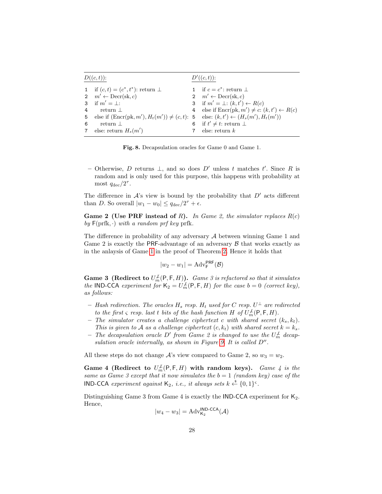|                 | $D((c,t))$ :                                                                                           | $D'((c,t))$ :                                                   |
|-----------------|--------------------------------------------------------------------------------------------------------|-----------------------------------------------------------------|
|                 | 1 if $(c, t) = (c^*, t^*)$ : return $\perp$                                                            | 1 if $c = c^*$ : return $\perp$                                 |
|                 | 2 $m' \leftarrow \text{Decr}(sk, c)$                                                                   | 2 $m' \leftarrow \text{Decr}(sk, c)$                            |
|                 | 3 if $m' = \perp$ :                                                                                    | 3 if $m' = \perp : (k, t') \leftarrow R(c)$                     |
| $\overline{4}$  | return $\perp$                                                                                         | 4 else if $\text{Encr}(pk, m') \neq c: (k, t') \leftarrow R(c)$ |
| 5               | else if $(\text{Encr}(pk, m'), H_t(m')) \neq (c, t)$ : 5 else: $(k, t') \leftarrow (H_s(m'), H_t(m'))$ |                                                                 |
| 6               | $return \perp$                                                                                         | 6 if $t' \neq t$ : return $\perp$                               |
| $7\phantom{.0}$ | else: return $H_s(m')$                                                                                 | else: return $k$                                                |

Fig. 8. Decapsulation oracles for Game 0 and Game 1.

<span id="page-27-0"></span>– Otherwise, D returns  $\bot$ , and so does D' unless t matches t'. Since R is random and is only used for this purpose, this happens with probability at most  $q_{\text{dec}}/2^{\tau}$ .

The difference in  $A$ 's view is bound by the probability that  $D'$  acts different than D. So overall  $|w_1 - w_0| \leq q_{\text{dec}}/2^{\tau} + \epsilon$ .

Game 2 (Use PRF instead of R). In Game 2, the simulator replaces  $R(c)$ by  $F(\text{prfk}, \cdot)$  with a random prf key prfk.

The difference in probability of any adversary  $A$  between winning Game 1 and Game 2 is exactly the PRF-advantage of an adversary  $\beta$  that works exactly as in the anlaysis of Game [1](#page-10-2) in the proof of Theorem [2.](#page-9-0) Hence it holds that

$$
|w_2 - w_1| = \text{Adv}_{\mathsf{F}}^{\mathsf{PRF}}(\mathcal{B})
$$

**Game 3** (Redirect to  $U_m^{\not\perp}(\mathsf{P},\mathsf{F},H)$ ). Game 3 is refactored so that it simulates the IND-CCA experiment for  $K_2 = U_m^{\mathcal{L}}(P, F, H)$  for the case  $b = 0$  (correct key), as follows:

- $-$  Hash redirection. The oracles  $H_s$  resp.  $H_t$  used for  $C$  resp.  $U^{\perp}$  are redirected to the first  $\varsigma$  resp. last t bits of the hash function H of  $U_m^{\mathcal{L}}(\mathsf{P},\mathsf{F},H)$ .
- The simulator creates a challenge ciphertext c with shared secret  $(k_s, k_t)$ . This is given to A as a challenge ciphertext  $(c, k_t)$  with shared secret  $k = k_s$ .
- − The decapsulation oracle D' from Game 2 is changed to use the  $U_m^{\not\perp}$  decap-sulation oracle internally, as shown in Figure [9.](#page-28-0) It is called  $D''$ .

All these steps do not change  $A$ 's view compared to Game 2, so  $w_3 = w_2$ .

Game 4 (Redirect to  $U_m^{\perp}(\mathsf{P},\mathsf{F},H)$  with random keys). Game 4 is the same as Game 3 except that it now simulates the  $b = 1$  (random key) case of the **IND-CCA** experiment against  $K_2$ , i.e., it always sets  $k \stackrel{\$}{\leftarrow} \{0,1\}^{\varsigma}$ .

Distinguishing Game 3 from Game 4 is exactly the IND-CCA experiment for  $K_2$ . Hence,

$$
|w_4 - w_3| = \text{Adv}_{\mathsf{K}_2}^{\mathsf{IND}\text{-}\mathsf{CCA}}(\mathcal{A})
$$